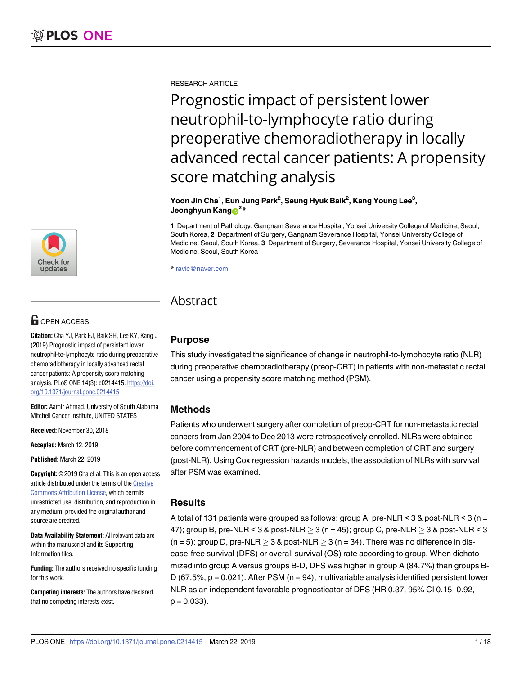[a1111111111](http://crossmark.crossref.org/dialog/?doi=10.1371/journal.pone.0214415&domain=pdf&date_stamp=2019-03-22) [a1111111111](http://crossmark.crossref.org/dialog/?doi=10.1371/journal.pone.0214415&domain=pdf&date_stamp=2019-03-22) [a1111111111](http://crossmark.crossref.org/dialog/?doi=10.1371/journal.pone.0214415&domain=pdf&date_stamp=2019-03-22) **Check for** updates

## **OPEN ACCESS**

**Citation:** Cha YJ, Park EJ, Baik SH, Lee KY, Kang J (2019) Prognostic impact of persistent lower neutrophil-to-lymphocyte ratio during preoperative chemoradiotherapy in locally advanced rectal cancer patients: A propensity score matching analysis. PLoS ONE 14(3): e0214415. [https://doi.](https://doi.org/10.1371/journal.pone.0214415) [org/10.1371/journal.pone.0214415](https://doi.org/10.1371/journal.pone.0214415)

**Editor:** Aamir Ahmad, University of South Alabama Mitchell Cancer Institute, UNITED STATES

**Received:** November 30, 2018

**Accepted:** March 12, 2019

**Published:** March 22, 2019

**Copyright:** © 2019 Cha et al. This is an open access article distributed under the terms of the [Creative](http://creativecommons.org/licenses/by/4.0/) [Commons](http://creativecommons.org/licenses/by/4.0/) Attribution License, which permits unrestricted use, distribution, and reproduction in any medium, provided the original author and source are credited.

**Data Availability Statement:** All relevant data are within the manuscript and its Supporting Information files.

**Funding:** The authors received no specific funding for this work.

**Competing interests:** The authors have declared that no competing interests exist.

RESEARCH ARTICLE

Prognostic impact of persistent lower neutrophil-to-lymphocyte ratio during preoperative chemoradiotherapy in locally advanced rectal cancer patients: A propensity score matching analysis

**Yoon Jin Cha1 , Eun Jung Park2 , Seung Hyuk Baik2 , Kang Young Lee3 , Jeonghyun Kang** $\mathbf{D}^{2*}$ 

**1** Department of Pathology, Gangnam Severance Hospital, Yonsei University College of Medicine, Seoul, South Korea, **2** Department of Surgery, Gangnam Severance Hospital, Yonsei University College of Medicine, Seoul, South Korea, **3** Department of Surgery, Severance Hospital, Yonsei University College of Medicine, Seoul, South Korea

\* ravic@naver.com

## Abstract

## **Purpose**

This study investigated the significance of change in neutrophil-to-lymphocyte ratio (NLR) during preoperative chemoradiotherapy (preop-CRT) in patients with non-metastatic rectal cancer using a propensity score matching method (PSM).

## **Methods**

Patients who underwent surgery after completion of preop-CRT for non-metastatic rectal cancers from Jan 2004 to Dec 2013 were retrospectively enrolled. NLRs were obtained before commencement of CRT (pre-NLR) and between completion of CRT and surgery (post-NLR). Using Cox regression hazards models, the association of NLRs with survival after PSM was examined.

## **Results**

A total of 131 patients were grouped as follows: group A, pre-NLR <  $3$  & post-NLR <  $3$  (n = 47); group B, pre-NLR < 3 & post-NLR  $\geq$  3 (n = 45); group C, pre-NLR  $\geq$  3 & post-NLR < 3  $(n = 5)$ ; group D, pre-NLR  $> 3$  & post-NLR  $> 3$  (n = 34). There was no difference in disease-free survival (DFS) or overall survival (OS) rate according to group. When dichotomized into group A versus groups B-D, DFS was higher in group A (84.7%) than groups B-D (67.5%,  $p = 0.021$ ). After PSM ( $n = 94$ ), multivariable analysis identified persistent lower NLR as an independent favorable prognosticator of DFS (HR 0.37, 95% CI 0.15–0.92,  $p = 0.033$ ).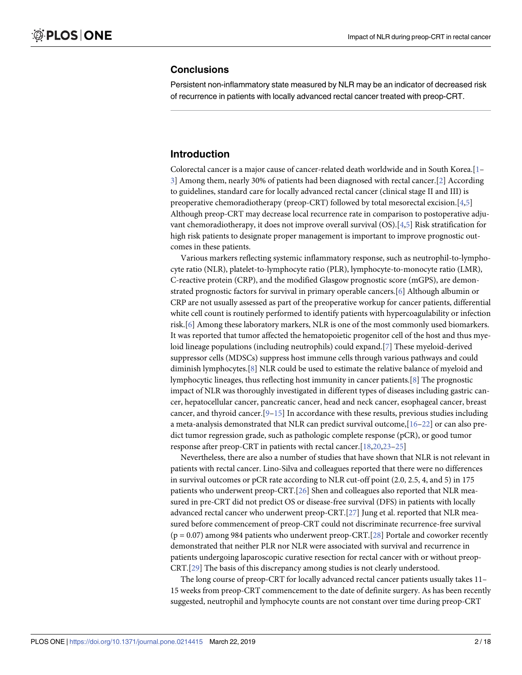## <span id="page-1-0"></span>**Conclusions**

Persistent non-inflammatory state measured by NLR may be an indicator of decreased risk of recurrence in patients with locally advanced rectal cancer treated with preop-CRT.

## **Introduction**

Colorectal cancer is a major cause of cancer-related death worldwide and in South Korea.[\[1–](#page-14-0) [3\]](#page-14-0) Among them, nearly 30% of patients had been diagnosed with rectal cancer.[\[2\]](#page-14-0) According to guidelines, standard care for locally advanced rectal cancer (clinical stage II and III) is preoperative chemoradiotherapy (preop-CRT) followed by total mesorectal excision.[[4](#page-14-0),[5](#page-14-0)] Although preop-CRT may decrease local recurrence rate in comparison to postoperative adjuvant chemoradiotherapy, it does not improve overall survival (OS).[\[4,5\]](#page-14-0) Risk stratification for high risk patients to designate proper management is important to improve prognostic outcomes in these patients.

Various markers reflecting systemic inflammatory response, such as neutrophil-to-lymphocyte ratio (NLR), platelet-to-lymphocyte ratio (PLR), lymphocyte-to-monocyte ratio (LMR), C-reactive protein (CRP), and the modified Glasgow prognostic score (mGPS), are demonstrated prognostic factors for survival in primary operable cancers.[\[6](#page-14-0)] Although albumin or CRP are not usually assessed as part of the preoperative workup for cancer patients, differential white cell count is routinely performed to identify patients with hypercoagulability or infection risk.[[6](#page-14-0)] Among these laboratory markers, NLR is one of the most commonly used biomarkers. It was reported that tumor affected the hematopoietic progenitor cell of the host and thus myeloid lineage populations (including neutrophils) could expand.[\[7\]](#page-14-0) These myeloid-derived suppressor cells (MDSCs) suppress host immune cells through various pathways and could diminish lymphocytes.[[8\]](#page-14-0) NLR could be used to estimate the relative balance of myeloid and lymphocytic lineages, thus reflecting host immunity in cancer patients.[\[8\]](#page-14-0) The prognostic impact of NLR was thoroughly investigated in different types of diseases including gastric cancer, hepatocellular cancer, pancreatic cancer, head and neck cancer, esophageal cancer, breast cancer, and thyroid cancer.[[9](#page-14-0)–[15\]](#page-14-0) In accordance with these results, previous studies including a meta-analysis demonstrated that NLR can predict survival outcome,[\[16–](#page-14-0)[22\]](#page-15-0) or can also predict tumor regression grade, such as pathologic complete response (pCR), or good tumor response after preop-CRT in patients with rectal cancer.[[18](#page-15-0),[20,23–25](#page-15-0)]

Nevertheless, there are also a number of studies that have shown that NLR is not relevant in patients with rectal cancer. Lino-Silva and colleagues reported that there were no differences in survival outcomes or pCR rate according to NLR cut-off point (2.0, 2.5, 4, and 5) in 175 patients who underwent preop-CRT.[\[26\]](#page-15-0) Shen and colleagues also reported that NLR measured in pre-CRT did not predict OS or disease-free survival (DFS) in patients with locally advanced rectal cancer who underwent preop-CRT.[\[27\]](#page-15-0) Jung et al. reported that NLR measured before commencement of preop-CRT could not discriminate recurrence-free survival (p = 0.07) among 984 patients who underwent preop-CRT.[[28](#page-15-0)] Portale and coworker recently demonstrated that neither PLR nor NLR were associated with survival and recurrence in patients undergoing laparoscopic curative resection for rectal cancer with or without preop-CRT.[[29](#page-15-0)] The basis of this discrepancy among studies is not clearly understood.

The long course of preop-CRT for locally advanced rectal cancer patients usually takes 11– 15 weeks from preop-CRT commencement to the date of definite surgery. As has been recently suggested, neutrophil and lymphocyte counts are not constant over time during preop-CRT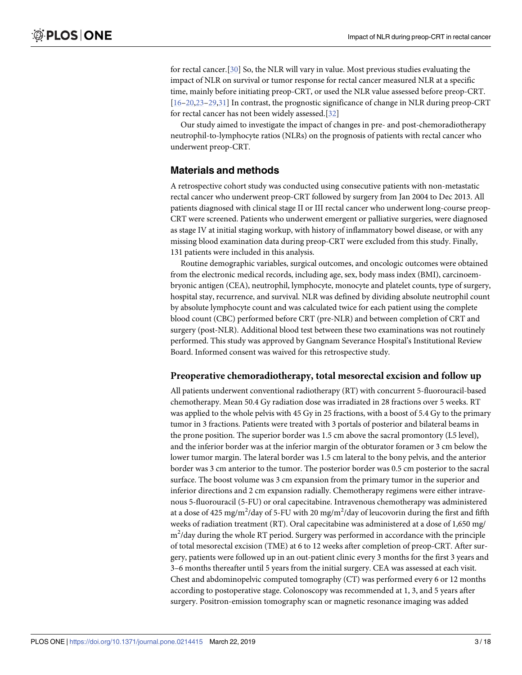<span id="page-2-0"></span>for rectal cancer.[[30](#page-15-0)] So, the NLR will vary in value. Most previous studies evaluating the impact of NLR on survival or tumor response for rectal cancer measured NLR at a specific time, mainly before initiating preop-CRT, or used the NLR value assessed before preop-CRT. [\[16](#page-14-0)[–20,23](#page-15-0)–[29,31\]](#page-15-0) In contrast, the prognostic significance of change in NLR during preop-CRT for rectal cancer has not been widely assessed.[\[32\]](#page-15-0)

Our study aimed to investigate the impact of changes in pre- and post-chemoradiotherapy neutrophil-to-lymphocyte ratios (NLRs) on the prognosis of patients with rectal cancer who underwent preop-CRT.

## **Materials and methods**

A retrospective cohort study was conducted using consecutive patients with non-metastatic rectal cancer who underwent preop-CRT followed by surgery from Jan 2004 to Dec 2013. All patients diagnosed with clinical stage II or III rectal cancer who underwent long-course preop-CRT were screened. Patients who underwent emergent or palliative surgeries, were diagnosed as stage IV at initial staging workup, with history of inflammatory bowel disease, or with any missing blood examination data during preop-CRT were excluded from this study. Finally, 131 patients were included in this analysis.

Routine demographic variables, surgical outcomes, and oncologic outcomes were obtained from the electronic medical records, including age, sex, body mass index (BMI), carcinoembryonic antigen (CEA), neutrophil, lymphocyte, monocyte and platelet counts, type of surgery, hospital stay, recurrence, and survival. NLR was defined by dividing absolute neutrophil count by absolute lymphocyte count and was calculated twice for each patient using the complete blood count (CBC) performed before CRT (pre-NLR) and between completion of CRT and surgery (post-NLR). Additional blood test between these two examinations was not routinely performed. This study was approved by Gangnam Severance Hospital's Institutional Review Board. Informed consent was waived for this retrospective study.

#### **Preoperative chemoradiotherapy, total mesorectal excision and follow up**

All patients underwent conventional radiotherapy (RT) with concurrent 5-fluorouracil-based chemotherapy. Mean 50.4 Gy radiation dose was irradiated in 28 fractions over 5 weeks. RT was applied to the whole pelvis with 45 Gy in 25 fractions, with a boost of 5.4 Gy to the primary tumor in 3 fractions. Patients were treated with 3 portals of posterior and bilateral beams in the prone position. The superior border was 1.5 cm above the sacral promontory (L5 level), and the inferior border was at the inferior margin of the obturator foramen or 3 cm below the lower tumor margin. The lateral border was 1.5 cm lateral to the bony pelvis, and the anterior border was 3 cm anterior to the tumor. The posterior border was 0.5 cm posterior to the sacral surface. The boost volume was 3 cm expansion from the primary tumor in the superior and inferior directions and 2 cm expansion radially. Chemotherapy regimens were either intravenous 5-fluorouracil (5-FU) or oral capecitabine. Intravenous chemotherapy was administered at a dose of 425 mg/m<sup>2</sup>/day of 5-FU with 20 mg/m<sup>2</sup>/day of leucovorin during the first and fifth weeks of radiation treatment (RT). Oral capecitabine was administered at a dose of 1,650 mg/ m<sup>2</sup>/day during the whole RT period. Surgery was performed in accordance with the principle of total mesorectal excision (TME) at 6 to 12 weeks after completion of preop-CRT. After surgery, patients were followed up in an out-patient clinic every 3 months for the first 3 years and 3–6 months thereafter until 5 years from the initial surgery. CEA was assessed at each visit. Chest and abdominopelvic computed tomography (CT) was performed every 6 or 12 months according to postoperative stage. Colonoscopy was recommended at 1, 3, and 5 years after surgery. Positron-emission tomography scan or magnetic resonance imaging was added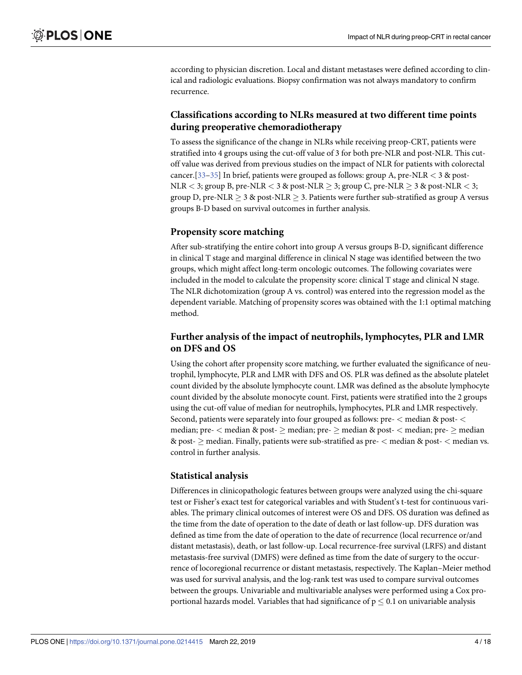<span id="page-3-0"></span>according to physician discretion. Local and distant metastases were defined according to clinical and radiologic evaluations. Biopsy confirmation was not always mandatory to confirm recurrence.

## **Classifications according to NLRs measured at two different time points during preoperative chemoradiotherapy**

To assess the significance of the change in NLRs while receiving preop-CRT, patients were stratified into 4 groups using the cut-off value of 3 for both pre-NLR and post-NLR. This cutoff value was derived from previous studies on the impact of NLR for patients with colorectal cancer.[[33](#page-16-0)–[35](#page-16-0)] In brief, patients were grouped as follows: group A, pre-NLR *<* 3 & post-NLR  $\leq$  3; group B, pre-NLR  $\leq$  3 & post-NLR  $\geq$  3; group C, pre-NLR  $\geq$  3 & post-NLR  $\leq$  3; group D, pre-NLR  $\geq$  3 & post-NLR  $\geq$  3. Patients were further sub-stratified as group A versus groups B-D based on survival outcomes in further analysis.

#### **Propensity score matching**

After sub-stratifying the entire cohort into group A versus groups B-D, significant difference in clinical T stage and marginal difference in clinical N stage was identified between the two groups, which might affect long-term oncologic outcomes. The following covariates were included in the model to calculate the propensity score: clinical T stage and clinical N stage. The NLR dichotomization (group A vs. control) was entered into the regression model as the dependent variable. Matching of propensity scores was obtained with the 1:1 optimal matching method.

## **Further analysis of the impact of neutrophils, lymphocytes, PLR and LMR on DFS and OS**

Using the cohort after propensity score matching, we further evaluated the significance of neutrophil, lymphocyte, PLR and LMR with DFS and OS. PLR was defined as the absolute platelet count divided by the absolute lymphocyte count. LMR was defined as the absolute lymphocyte count divided by the absolute monocyte count. First, patients were stratified into the 2 groups using the cut-off value of median for neutrophils, lymphocytes, PLR and LMR respectively. Second, patients were separately into four grouped as follows: pre- *<* median & post- *<* median; pre- *<* median & post- � median; pre- � median & post- *<* median; pre- � median & post- � median. Finally, patients were sub-stratified as pre- *<* median & post- *<* median vs. control in further analysis.

#### **Statistical analysis**

Differences in clinicopathologic features between groups were analyzed using the chi-square test or Fisher's exact test for categorical variables and with Student's t-test for continuous variables. The primary clinical outcomes of interest were OS and DFS. OS duration was defined as the time from the date of operation to the date of death or last follow-up. DFS duration was defined as time from the date of operation to the date of recurrence (local recurrence or/and distant metastasis), death, or last follow-up. Local recurrence-free survival (LRFS) and distant metastasis-free survival (DMFS) were defined as time from the date of surgery to the occurrence of locoregional recurrence or distant metastasis, respectively. The Kaplan–Meier method was used for survival analysis, and the log-rank test was used to compare survival outcomes between the groups. Univariable and multivariable analyses were performed using a Cox proportional hazards model. Variables that had significance of  $p \leq 0.1$  on univariable analysis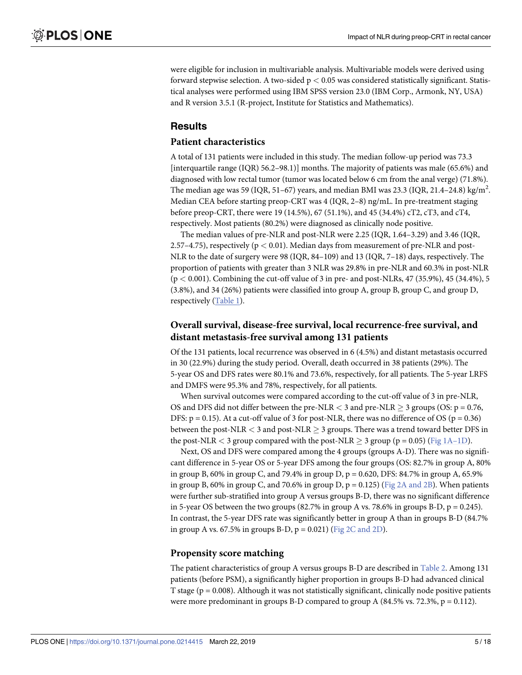<span id="page-4-0"></span>were eligible for inclusion in multivariable analysis. Multivariable models were derived using forward stepwise selection. A two-sided p *<* 0.05 was considered statistically significant. Statistical analyses were performed using IBM SPSS version 23.0 (IBM Corp., Armonk, NY, USA) and R version 3.5.1 (R-project, Institute for Statistics and Mathematics).

## **Results**

#### **Patient characteristics**

A total of 131 patients were included in this study. The median follow-up period was 73.3 [interquartile range (IQR) 56.2–98.1)] months. The majority of patients was male (65.6%) and diagnosed with low rectal tumor (tumor was located below 6 cm from the anal verge) (71.8%). The median age was 59 (IQR, 51–67) years, and median BMI was 23.3 (IQR, 21.4–24.8) kg/m<sup>2</sup>. Median CEA before starting preop-CRT was 4 (IQR, 2–8) ng/mL. In pre-treatment staging before preop-CRT, there were 19 (14.5%), 67 (51.1%), and 45 (34.4%) cT2, cT3, and cT4, respectively. Most patients (80.2%) were diagnosed as clinically node positive.

The median values of pre-NLR and post-NLR were 2.25 (IQR, 1.64–3.29) and 3.46 (IQR, 2.57–4.75), respectively (p *<* 0.01). Median days from measurement of pre-NLR and post-NLR to the date of surgery were 98 (IQR, 84–109) and 13 (IQR, 7–18) days, respectively. The proportion of patients with greater than 3 NLR was 29.8% in pre-NLR and 60.3% in post-NLR (p *<* 0.001). Combining the cut-off value of 3 in pre- and post-NLRs, 47 (35.9%), 45 (34.4%), 5 (3.8%), and 34 (26%) patients were classified into group A, group B, group C, and group D, respectively [\(Table](#page-5-0) 1).

## **Overall survival, disease-free survival, local recurrence-free survival, and distant metastasis-free survival among 131 patients**

Of the 131 patients, local recurrence was observed in 6 (4.5%) and distant metastasis occurred in 30 (22.9%) during the study period. Overall, death occurred in 38 patients (29%). The 5-year OS and DFS rates were 80.1% and 73.6%, respectively, for all patients. The 5-year LRFS and DMFS were 95.3% and 78%, respectively, for all patients.

When survival outcomes were compared according to the cut-off value of 3 in pre-NLR, OS and DFS did not differ between the pre-NLR  $<$  3 and pre-NLR  $\geq$  3 groups (OS: p = 0.76, DFS:  $p = 0.15$ ). At a cut-off value of 3 for post-NLR, there was no difference of OS ( $p = 0.36$ ) between the post-NLR  $<$  3 and post-NLR  $\geq$  3 groups. There was a trend toward better DFS in the post-NLR  $<$  3 group compared with the post-NLR  $\geq$  3 group (p = 0.05) (Fig [1A–1D\)](#page-6-0).

Next, OS and DFS were compared among the 4 groups (groups A-D). There was no significant difference in 5-year OS or 5-year DFS among the four groups (OS: 82.7% in group A, 80% in group B, 60% in group C, and 79.4% in group D, p = 0.620, DFS: 84.7% in group A, 65.9% in group B, 60% in group C, [and](#page-6-0) 70.6% in group D,  $p = 0.125$ ) (Fig 2A and 2B). When patients were further sub-stratified into group A versus groups B-D, there was no significant difference in 5-year OS between the two groups  $(82.7\%$  in group A vs. 78.6% in groups B-D, p = 0.245). In contrast, the 5-year DFS rate was significantly better in group A than in groups B-D (84.7% in group A vs. 67.5% in groups B-D,  $p = 0.021$ ) (Fig 2C [and](#page-6-0) 2D).

#### **Propensity score matching**

The patient characteristics of group A versus groups B-D are described in [Table](#page-7-0) 2. Among 131 patients (before PSM), a significantly higher proportion in groups B-D had advanced clinical T stage ( $p = 0.008$ ). Although it was not statistically significant, clinically node positive patients were more predominant in groups B-D compared to group A  $(84.5\% \text{ vs. } 72.3\%, \text{ p} = 0.112)$ .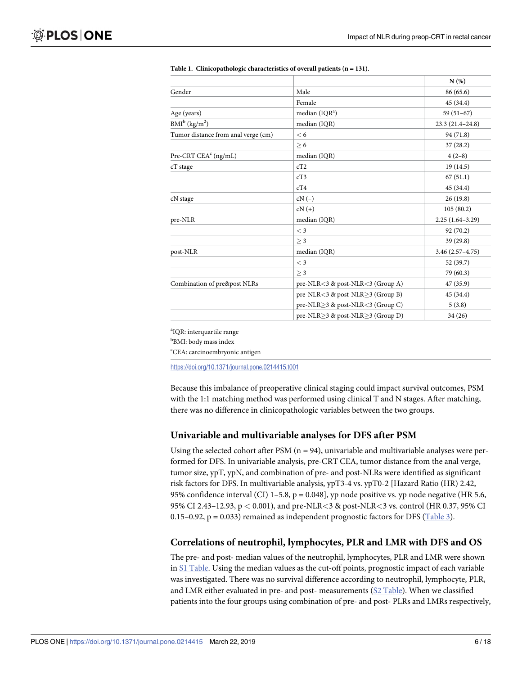|                                     |                                                | N(%)                |
|-------------------------------------|------------------------------------------------|---------------------|
| Gender                              | Male                                           | 86 (65.6)           |
|                                     | Female                                         | 45(34.4)            |
| Age (years)                         | median $(IQRa)$                                | $59(51-67)$         |
| $BMI^b$ (kg/m <sup>2</sup> )        | median (IQR)                                   | $23.3(21.4 - 24.8)$ |
| Tumor distance from anal verge (cm) | < 6                                            | 94 (71.8)           |
|                                     | > 6                                            | 37(28.2)            |
| Pre-CRT CEA $\text{c}$ (ng/mL)      | median (IQR)                                   | $4(2-8)$            |
| cT stage                            | cT2                                            | 19(14.5)            |
|                                     | cT3                                            | 67(51.1)            |
|                                     | cT4                                            | 45 (34.4)           |
| cN stage                            | $cN(-)$                                        | 26(19.8)            |
|                                     | $cN (+)$                                       | 105(80.2)           |
| pre-NLR                             | median (IQR)                                   | $2.25(1.64-3.29)$   |
|                                     | $<$ 3                                          | 92(70.2)            |
|                                     | > 3                                            | 39 (29.8)           |
| post-NLR                            | median (IQR)                                   | $3.46(2.57 - 4.75)$ |
|                                     | $<$ 3                                          | 52 (39.7)           |
|                                     | > 3                                            | 79 (60.3)           |
| Combination of pre&post NLRs        | pre-NLR<3 & post-NLR<3 (Group A)               | 47 (35.9)           |
|                                     | pre-NLR<3 & post-NLR>3 (Group B)               | 45 (34.4)           |
|                                     | pre-NLR $>$ 3 & post-NLR $<$ 3 (Group C)       | 5(3.8)              |
|                                     | pre-NLR $\geq$ 3 & post-NLR $\geq$ 3 (Group D) | 34(26)              |

<span id="page-5-0"></span>

| Table 1. Clinicopathologic characteristics of overall patients $(n = 131)$ . |
|------------------------------------------------------------------------------|
|------------------------------------------------------------------------------|

<sup>a</sup>IQR: interquartile range

<sup>b</sup>BMI: body mass index

c CEA: carcinoembryonic antigen

<https://doi.org/10.1371/journal.pone.0214415.t001>

Because this imbalance of preoperative clinical staging could impact survival outcomes, PSM with the 1:1 matching method was performed using clinical T and N stages. After matching, there was no difference in clinicopathologic variables between the two groups.

#### **Univariable and multivariable analyses for DFS after PSM**

Using the selected cohort after PSM  $(n = 94)$ , univariable and multivariable analyses were performed for DFS. In univariable analysis, pre-CRT CEA, tumor distance from the anal verge, tumor size, ypT, ypN, and combination of pre- and post-NLRs were identified as significant risk factors for DFS. In multivariable analysis, ypT3-4 vs. ypT0-2 [Hazard Ratio (HR) 2.42, 95% confidence interval (CI) 1–5.8,  $p = 0.048$ ], yp node positive vs. yp node negative (HR 5.6, 95% CI 2.43–12.93, p *<* 0.001), and pre-NLR*<*3 & post-NLR*<*3 vs. control (HR 0.37, 95% CI 0.15–0.92,  $p = 0.033$ ) remained as independent prognostic factors for DFS ([Table](#page-8-0) 3).

## **Correlations of neutrophil, lymphocytes, PLR and LMR with DFS and OS**

The pre- and post- median values of the neutrophil, lymphocytes, PLR and LMR were shown in S1 [Table](#page-13-0). Using the median values as the cut-off points, prognostic impact of each variable was investigated. There was no survival difference according to neutrophil, lymphocyte, PLR, and LMR either evaluated in pre- and post- measurements (S2 [Table\)](#page-13-0). When we classified patients into the four groups using combination of pre- and post- PLRs and LMRs respectively,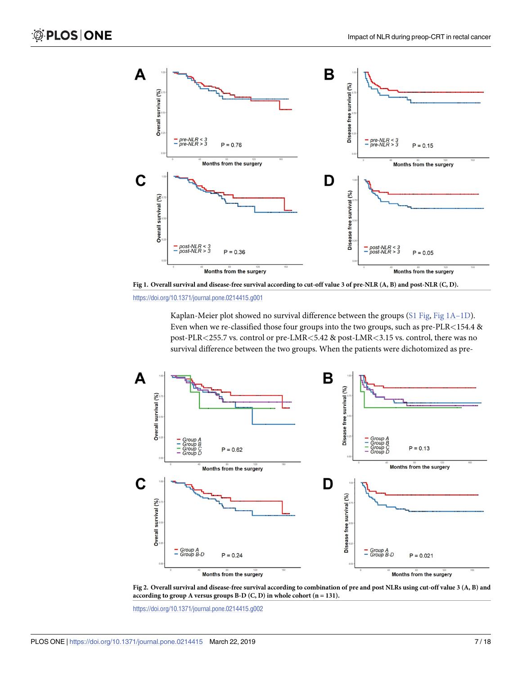<span id="page-6-0"></span>



<https://doi.org/10.1371/journal.pone.0214415.g001>

Kaplan-Meier plot showed no survival difference between the groups (S1 [Fig,](#page-13-0) Fig 1A–1D). Even when we re-classified those four groups into the two groups, such as pre-PLR*<*154.4 & post-PLR*<*255.7 vs. control or pre-LMR*<*5.42 & post-LMR*<*3.15 vs. control, there was no survival difference between the two groups. When the patients were dichotomized as pre-





<https://doi.org/10.1371/journal.pone.0214415.g002>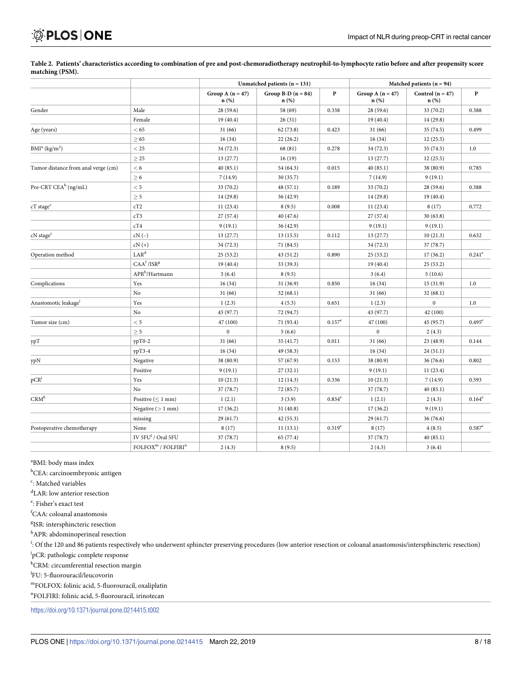# <span id="page-7-0"></span>**OPLOS ONE**

|                                                   |                                                         | Unmatched patients $(n = 131)$ |                              | Matched patients $(n = 94)$ |                               |                               |                      |
|---------------------------------------------------|---------------------------------------------------------|--------------------------------|------------------------------|-----------------------------|-------------------------------|-------------------------------|----------------------|
|                                                   |                                                         | Group A $(n = 47)$<br>n(%)     | Group B-D $(n = 84)$<br>n(%) | $\mathbf{P}$                | Group A $(n = 47)$<br>$n(\%)$ | Control $(n = 47)$<br>$n$ (%) | $\mathbf{P}$         |
| Gender                                            | Male                                                    | 28 (59.6)                      | 58 (69)                      | 0.338                       | 28 (59.6)                     | 33 (70.2)                     | 0.388                |
|                                                   | Female                                                  | 19(40.4)                       | 26(31)                       |                             | 19(40.4)                      | 14 (29.8)                     |                      |
| Age (years)                                       | < 65                                                    | 31(66)                         | 62(73.8)                     | 0.423                       | 31(66)                        | 35 (74.5)                     | 0.499                |
|                                                   | $\geq 65$                                               | 16(34)                         | 22(26.2)                     |                             | 16(34)                        | 12(25.5)                      |                      |
| BMI <sup>a</sup> (kg/m <sup>2</sup> )             | $<$ 25                                                  | 34 (72.3)                      | 68 (81)                      | 0.278                       | 34 (72.3)                     | 35 (74.5)                     | $1.0\,$              |
|                                                   | $\geq$ 25                                               | 13(27.7)                       | 16(19)                       |                             | 13(27.7)                      | 12(25.5)                      |                      |
| Tumor distance from anal verge (cm)               | < 6                                                     | 40(85.1)                       | 54 (64.3)                    | 0.015                       | 40(85.1)                      | 38 (80.9)                     | 0.785                |
|                                                   | $\geq 6$                                                | 7(14.9)                        | 30 (35.7)                    |                             | 7(14.9)                       | 9(19.1)                       |                      |
| Pre-CRT CEA <sup>b</sup> (ng/mL)                  | < 5                                                     | 33 (70.2)                      | 48(57.1)                     | 0.189                       | 33 (70.2)                     | 28 (59.6)                     | 0.388                |
|                                                   | $\geq 5$                                                | 14(29.8)                       | 36 (42.9)                    |                             | 14 (29.8)                     | 19(40.4)                      |                      |
| cT stage <sup>c</sup>                             | cT2                                                     | 11(23.4)                       | 8(9.5)                       | 0.008                       | 11(23.4)                      | 8(17)                         | 0.772                |
|                                                   | cT3                                                     | 27(57.4)                       | 40 (47.6)                    |                             | 27 (57.4)                     | 30(63.8)                      |                      |
|                                                   | cT4                                                     | 9(19.1)                        | 36 (42.9)                    |                             | 9(19.1)                       | 9(19.1)                       |                      |
| cN stage <sup>c</sup>                             | $cN(-)$                                                 | 13(27.7)                       | 13(15.5)                     | 0.112                       | 13(27.7)                      | 10(21.3)                      | 0.632                |
|                                                   | $cN (+)$                                                | 34 (72.3)                      | 71 (84.5)                    |                             | 34 (72.3)                     | 37 (78.7)                     |                      |
| Operation method                                  | LAR <sup>d</sup>                                        | 25(53.2)                       | 43 (51.2)                    | 0.890                       | 25(53.2)                      | 17(36.2)                      | $0.241$ <sup>e</sup> |
|                                                   | CAA <sup>f</sup> /ISR <sup>g</sup>                      | 19(40.4)                       | 33 (39.3)                    |                             | 19(40.4)                      | 25(53.2)                      |                      |
|                                                   | $\mathsf{APR}^{\mathrm{h}}\!/\!\operatorname{Hartmann}$ | 3(6.4)                         | 8(9.5)                       |                             | 3(6.4)                        | 5(10.6)                       |                      |
| Complications                                     | Yes                                                     | 16(34)                         | 31 (36.9)                    | 0.850                       | 16(34)                        | 15(31.9)                      | 1.0                  |
|                                                   | No                                                      | 31(66)                         | 32(68.1)                     |                             | 31(66)                        | 32(68.1)                      |                      |
| Anastomotic leakage <sup>1</sup>                  | Yes                                                     | 1(2.3)                         | 4(5.3)                       | 0.651                       | 1(2.3)                        | $\mathbf{0}$                  | 1.0                  |
|                                                   | No                                                      | 43 (97.7)                      | 72 (94.7)                    |                             | 43 (97.7)                     | 42 (100)                      |                      |
| Tumor size (cm)                                   | < 5                                                     | 47 (100)                       | 71 (93.4)                    | $0.157^e$                   | 47 (100)                      | 45 (95.7)                     | $0.495^{\circ}$      |
|                                                   | $\geq 5$                                                | $\mathbf{0}$                   | 5(6.6)                       |                             | $\boldsymbol{0}$              | 2(4.3)                        |                      |
| yрT                                               | $ypT0-2$                                                | 31(66)                         | 35 (41.7)                    | 0.011                       | 31(66)                        | 23 (48.9)                     | 0.144                |
|                                                   | ypT3-4                                                  | 16(34)                         | 49 (58.3)                    |                             | 16(34)                        | 24(51.1)                      |                      |
| $\ensuremath{\mathrm{yp}}\ensuremath{\mathrm{N}}$ | Negative                                                | 38 (80.9)                      | 57 (67.9)                    | 0.153                       | 38 (80.9)                     | 36 (76.6)                     | 0.802                |
|                                                   | Positive                                                | 9(19.1)                        | 27(32.1)                     |                             | 9(19.1)                       | 11(23.4)                      |                      |
| pCR <sup>j</sup>                                  | Yes                                                     | 10(21.3)                       | 12(14.3)                     | 0.336                       | 10(21.3)                      | 7(14.9)                       | 0.593                |
|                                                   | N <sub>o</sub>                                          | 37 (78.7)                      | 72 (85.7)                    |                             | 37 (78.7)                     | 40(85.1)                      |                      |
| $CRM^k$                                           | Positive $(\leq 1$ mm)                                  | 1(2.1)                         | 3(3.9)                       | $0.834^e$                   | 1(2.1)                        | 2(4.3)                        | $0.164^e$            |
|                                                   | Negative $(>1$ mm)                                      | 17(36.2)                       | 31(40.8)                     |                             | 17(36.2)                      | 9(19.1)                       |                      |
|                                                   | missing                                                 | 29(61.7)                       | 42 (55.3)                    |                             | 29 (61.7)                     | 36(76.6)                      |                      |
| Postoperative chemotherapy                        | None                                                    | 8(17)                          | 11(13.1)                     | $0.519^{e}$                 | 8(17)                         | 4(8.5)                        | $0.587^e$            |
|                                                   | IV 5FU <sup>1</sup> / Oral 5FU                          | 37 (78.7)                      | 65 (77.4)                    |                             | 37 (78.7)                     | 40 (85.1)                     |                      |
|                                                   | FOLFOX <sup>m</sup> / FOLFIRI <sup>n</sup>              | 2(4.3)                         | 8(9.5)                       |                             | 2(4.3)                        | 3(6.4)                        |                      |

[Table](#page-4-0) 2. Patients' characteristics according to combination of pre and post-chemoradiotherapy neutrophil-to-lymphocyte ratio before and after propensity score **matching (PSM).**

<sup>a</sup>BMI: body mass index

<sup>b</sup>CEA: carcinoembryonic antigen

<sup>c</sup>: Matched variables

d LAR: low anterior resection

e: Fisher's exact test

f CAA: coloanal anastomosis

<sup>g</sup>ISR: intersphincteric resection

h<br>APR: abdominoperineal resection

i : Of the 120 and 86 patients respectively who underwent sphincter preserving procedures (low anterior resection or coloanal anastomosis/intersphincteric resection) <sup>j</sup>pCR: pathologic complete response

k CRM: circumferential resection margin

<sup>l</sup>FU: 5-fluorouracil/leucovorin

mFOLFOX: folinic acid, 5-fluorouracil, oxaliplatin

n FOLFIRI: folinic acid, 5-fluorouracil, irinotecan

<https://doi.org/10.1371/journal.pone.0214415.t002>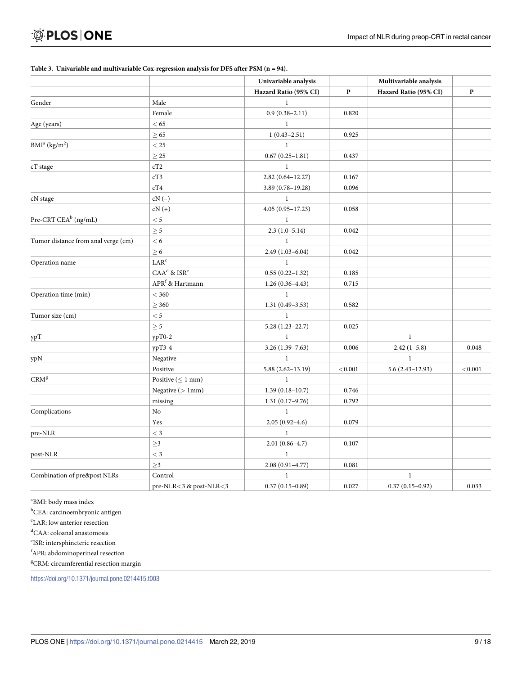#### <span id="page-8-0"></span>**[Table](#page-5-0) 3. Univariable and multivariable Cox-regression analysis for DFS after PSM (n = 94).**

|                                       |                             | Univariable analysis  |              | Multivariable analysis |          |
|---------------------------------------|-----------------------------|-----------------------|--------------|------------------------|----------|
|                                       |                             | Hazard Ratio (95% CI) | $\mathbf{P}$ | Hazard Ratio (95% CI)  | $\bf{P}$ |
| Gender                                | Male                        | $\mathbf{1}$          |              |                        |          |
|                                       | Female                      | $0.9(0.38 - 2.11)$    | 0.820        |                        |          |
| Age (years)                           | < 65                        | $\mathbf{1}$          |              |                        |          |
|                                       | $\geq 65$                   | $1(0.43 - 2.51)$      | 0.925        |                        |          |
| BMI <sup>a</sup> (kg/m <sup>2</sup> ) | $<$ 25                      | $\mathbf{1}$          |              |                        |          |
|                                       | $\geq 25$                   | $0.67(0.25 - 1.81)$   | 0.437        |                        |          |
| cT stage                              | cT2                         | $\mathbf{1}$          |              |                        |          |
|                                       | cT3                         | $2.82(0.64 - 12.27)$  | 0.167        |                        |          |
|                                       | $\rm cT4$                   | 3.89 (0.78-19.28)     | 0.096        |                        |          |
| cN stage                              | $cN(-)$                     | $\mathbf{1}$          |              |                        |          |
|                                       | $cN (+)$                    | $4.05(0.95 - 17.23)$  | 0.058        |                        |          |
| Pre-CRT CEA <sup>b</sup> (ng/mL)      | $< 5\,$                     | $\mathbf{1}$          |              |                        |          |
|                                       | $\geq 5$                    | $2.3(1.0-5.14)$       | 0.042        |                        |          |
| Tumor distance from anal verge (cm)   | < 6                         | $\mathbf{1}$          |              |                        |          |
|                                       | $\geq 6$                    | $2.49(1.03 - 6.04)$   | 0.042        |                        |          |
| Operation name                        | LAR <sup>c</sup>            | $\mathbf{1}$          |              |                        |          |
|                                       | $CAAd$ & $ISRe$             | $0.55(0.22 - 1.32)$   | 0.185        |                        |          |
|                                       | APR <sup>f</sup> & Hartmann | $1.26(0.36-4.43)$     | 0.715        |                        |          |
| Operation time (min)                  | $<$ 360                     | $\mathbf{1}$          |              |                        |          |
|                                       | $\geq 360$                  | $1.31(0.49 - 3.53)$   | 0.582        |                        |          |
| Tumor size (cm)                       | $< 5\,$                     | $\mathbf{1}$          |              |                        |          |
|                                       | $\geq 5$                    | $5.28(1.23 - 22.7)$   | 0.025        |                        |          |
| ypT                                   | ypT0-2                      | $\mathbf{1}$          |              | $\mathbf{1}$           |          |
|                                       | $ypT3-4$                    | $3.26(1.39 - 7.63)$   | 0.006        | $2.42(1-5.8)$          | 0.048    |
| ypN                                   | Negative                    | $\mathbf{1}$          |              | $\mathbf{1}$           |          |
|                                       | Positive                    | $5.88(2.62 - 13.19)$  | < 0.001      | $5.6(2.43 - 12.93)$    | < 0.001  |
| $\mathrm{CRM}^{\mathrm{g}}$           | Positive ( $\leq 1$ mm)     | $\mathbf{1}$          |              |                        |          |
|                                       | Negative $($ 1mm $)$        | $1.39(0.18 - 10.7)$   | 0.746        |                        |          |
|                                       | missing                     | $1.31(0.17-9.76)$     | 0.792        |                        |          |
| Complications                         | No                          | $\,1$                 |              |                        |          |
|                                       | Yes                         | $2.05(0.92 - 4.6)$    | 0.079        |                        |          |
| pre-NLR                               | $<$ 3                       | $\mathbf{1}$          |              |                        |          |
|                                       | $\geq$ 3                    | $2.01(0.86 - 4.7)$    | 0.107        |                        |          |
| post-NLR                              | $<$ 3                       | $\mathbf{1}$          |              |                        |          |
|                                       | ${\geq}3$                   | $2.08(0.91 - 4.77)$   | 0.081        |                        |          |
| Combination of pre&post NLRs          | Control                     | $\mathbf{1}$          |              | $\mathbf{1}$           |          |
|                                       | pre-NLR<3 & post-NLR<3      | $0.37(0.15 - 0.89)$   | 0.027        | $0.37(0.15-0.92)$      | 0.033    |

a BMI: body mass index

<sup>b</sup>CEA: carcinoembryonic antigen

c LAR: low anterior resection

d CAA: coloanal anastomosis

e ISR: intersphincteric resection

f APR: abdominoperineal resection

<sup>g</sup>CRM: circumferential resection margin

<https://doi.org/10.1371/journal.pone.0214415.t003>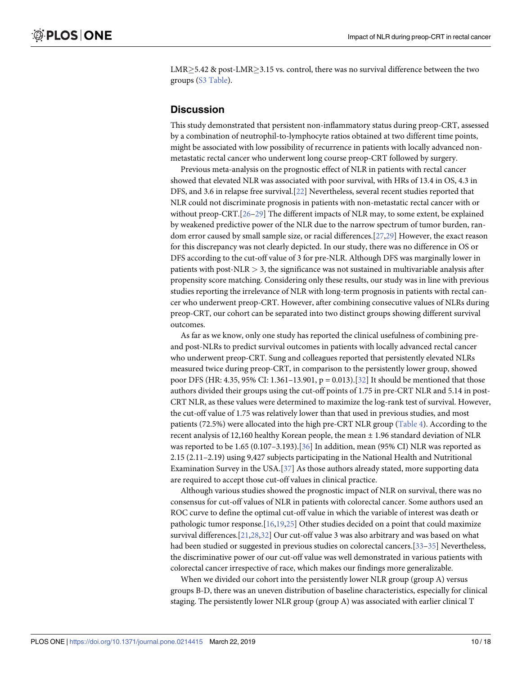<span id="page-9-0"></span> $LMR > 5.42$  & post-LMR $> 3.15$  vs. control, there was no survival difference between the two groups (S3 [Table\)](#page-13-0).

## **Discussion**

This study demonstrated that persistent non-inflammatory status during preop-CRT, assessed by a combination of neutrophil-to-lymphocyte ratios obtained at two different time points, might be associated with low possibility of recurrence in patients with locally advanced nonmetastatic rectal cancer who underwent long course preop-CRT followed by surgery.

Previous meta-analysis on the prognostic effect of NLR in patients with rectal cancer showed that elevated NLR was associated with poor survival, with HRs of 13.4 in OS, 4.3 in DFS, and 3.6 in relapse free survival.[[22\]](#page-15-0) Nevertheless, several recent studies reported that NLR could not discriminate prognosis in patients with non-metastatic rectal cancer with or without preop-CRT.[[26–29\]](#page-15-0) The different impacts of NLR may, to some extent, be explained by weakened predictive power of the NLR due to the narrow spectrum of tumor burden, random error caused by small sample size, or racial differences.[[27,29](#page-15-0)] However, the exact reason for this discrepancy was not clearly depicted. In our study, there was no difference in OS or DFS according to the cut-off value of 3 for pre-NLR. Although DFS was marginally lower in patients with post-NLR *>* 3, the significance was not sustained in multivariable analysis after propensity score matching. Considering only these results, our study was in line with previous studies reporting the irrelevance of NLR with long-term prognosis in patients with rectal cancer who underwent preop-CRT. However, after combining consecutive values of NLRs during preop-CRT, our cohort can be separated into two distinct groups showing different survival outcomes.

As far as we know, only one study has reported the clinical usefulness of combining preand post-NLRs to predict survival outcomes in patients with locally advanced rectal cancer who underwent preop-CRT. Sung and colleagues reported that persistently elevated NLRs measured twice during preop-CRT, in comparison to the persistently lower group, showed poor DFS (HR: 4.35, 95% CI: 1.361–13.901, p = 0.013).[[32](#page-15-0)] It should be mentioned that those authors divided their groups using the cut-off points of 1.75 in pre-CRT NLR and 5.14 in post-CRT NLR, as these values were determined to maximize the log-rank test of survival. However, the cut-off value of 1.75 was relatively lower than that used in previous studies, and most patients (72.5%) were allocated into the high pre-CRT NLR group [\(Table](#page-10-0) 4). According to the recent analysis of 12,160 healthy Korean people, the mean ± 1.96 standard deviation of NLR was reported to be 1.65 (0.107–3.193).[\[36\]](#page-16-0) In addition, mean (95% CI) NLR was reported as 2.15 (2.11–2.19) using 9,427 subjects participating in the National Health and Nutritional Examination Survey in the USA.[[37](#page-16-0)] As those authors already stated, more supporting data are required to accept those cut-off values in clinical practice.

Although various studies showed the prognostic impact of NLR on survival, there was no consensus for cut-off values of NLR in patients with colorectal cancer. Some authors used an ROC curve to define the optimal cut-off value in which the variable of interest was death or pathologic tumor response.[\[16,](#page-14-0)[19,25](#page-15-0)] Other studies decided on a point that could maximize survival differences.[[21,28,32](#page-15-0)] Our cut-off value 3 was also arbitrary and was based on what had been studied or suggested in previous studies on colorectal cancers.[[33–35\]](#page-16-0) Nevertheless, the discriminative power of our cut-off value was well demonstrated in various patients with colorectal cancer irrespective of race, which makes our findings more generalizable.

When we divided our cohort into the persistently lower NLR group (group A) versus groups B-D, there was an uneven distribution of baseline characteristics, especially for clinical staging. The persistently lower NLR group (group A) was associated with earlier clinical T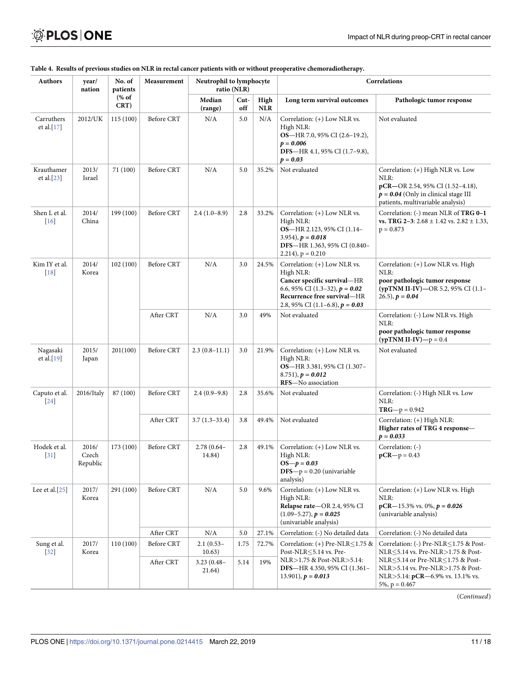| <b>Authors</b>                    | year/<br>nation            | No. of<br>patients | Measurement       | Neutrophil to lymphocyte<br>ratio (NLR) |             |                   | Correlations                                                                                                                                                                     |                                                                                                                                                               |
|-----------------------------------|----------------------------|--------------------|-------------------|-----------------------------------------|-------------|-------------------|----------------------------------------------------------------------------------------------------------------------------------------------------------------------------------|---------------------------------------------------------------------------------------------------------------------------------------------------------------|
|                                   |                            | % of<br>CRT)       |                   | Median<br>(range)                       | Cut-<br>off | High<br>$\bf NLR$ | Long term survival outcomes                                                                                                                                                      | Pathologic tumor response                                                                                                                                     |
| Carruthers<br>et al.[17]          | 2012/UK                    | 115 (100)          | Before CRT        | N/A                                     | 5.0         | N/A               | Correlation: (+) Low NLR vs.<br>High NLR:<br>OS-HR 7.0, 95% CI (2.6-19.2),<br>$p = 0.006$<br>DFS-HR 4.1, 95% CI (1.7-9.8),<br>$p = 0.03$                                         | Not evaluated                                                                                                                                                 |
| Krauthamer<br>et al.[23]          | 2013/<br>Israel            | 71 (100)           | Before CRT        | N/A                                     | 5.0         | 35.2%             | Not evaluated                                                                                                                                                                    | Correlation: (+) High NLR vs. Low<br>NLR:<br>pCR-OR 2.54, 95% CI (1.52-4.18),<br>$p = 0.04$ (Only in clinical stage III)<br>patients, multivariable analysis) |
| Shen L et al.<br>[16]             | 2014/<br>China             | 199 (100)          | Before CRT        | $2.4(1.0-8.9)$                          | 2.8         | 33.2%             | Correlation: (+) Low NLR vs.<br>High NLR:<br>OS-HR 2.123, 95% CI (1.14-<br>$3.954$ , $p = 0.018$<br><b>DFS-HR 1.363, 95% CI (0.840-</b><br>$2.214$ , $p = 0.210$                 | Correlation: (-) mean NLR of TRG 0-1<br>vs. TRG 2-3: $2.68 \pm 1.42$ vs. $2.82 \pm 1.33$ ,<br>$p = 0.873$                                                     |
| Kim IY et al.<br>$[18]$           | 2014/<br>Korea             | 102 (100)          | <b>Before CRT</b> | N/A                                     | 3.0         | 24.5%             | Correlation: (+) Low NLR vs.<br>High NLR:<br>Cancer specific survival-HR<br>6.6, 95% CI (1.3–32), $p = 0.02$<br>Recurrence free survival-HR<br>2.8, 95% CI (1.1–6.8), $p = 0.03$ | Correlation: (+) Low NLR vs. High<br>NLR:<br>poor pathologic tumor response<br>(ypTNM II-IV)-OR 5.2, 95% CI (1.1-<br>$(26.5), p = 0.04$                       |
|                                   |                            |                    | After CRT         | N/A                                     | 3.0         | 49%               | Not evaluated                                                                                                                                                                    | Correlation: (-) Low NLR vs. High<br>NLR:<br>poor pathologic tumor response<br>$(ypTNM II-IV) - p = 0.4$                                                      |
| Nagasaki<br>et al.[19]            | 2015/<br>Japan             | 201(100)           | Before CRT        | $2.3(0.8-11.1)$                         | 3.0         | 21.9%             | Correlation: (+) Low NLR vs.<br>High NLR:<br><b>OS</b> -HR 3.381, 95% CI (1.307-<br>$8.751$ , $p = 0.012$<br>RFS-No association                                                  | Not evaluated                                                                                                                                                 |
| Caputo et al.<br>[24]             | 2016/Italy                 | 87 (100)           | Before CRT        | $2.4(0.9-9.8)$                          | 2.8         | 35.6%             | Not evaluated                                                                                                                                                                    | Correlation: (-) High NLR vs. Low<br>NLR:<br>$TRG-p = 0.942$                                                                                                  |
|                                   |                            |                    | After CRT         | $3.7(1.3-33.4)$                         | 3.8         | 49.4%             | Not evaluated                                                                                                                                                                    | Correlation: (+) High NLR:<br>Higher rates of TRG 4 response-<br>$p = 0.033$                                                                                  |
| Hodek et al.<br>$\left[31\right]$ | 2016/<br>Czech<br>Republic | 173 (100)          | Before CRT        | $2.78(0.64 -$<br>14.84)                 | 2.8         | 49.1%             | Correlation: (+) Low NLR vs.<br>High NLR:<br>$OS-p = 0.03$<br>$DFS - p = 0.20$ (univariable<br>analysis)                                                                         | Correlation: (-)<br>$pCR - p = 0.43$                                                                                                                          |
| Lee et al. $[25]$                 | 2017/<br>Korea             | 291 (100)          | Before CRT        | N/A                                     | 5.0         | 9.6%              | Correlation: (+) Low NLR vs.<br>High NLR:<br>Relapse rate-OR 2.4, 95% CI<br>$(1.09 - 5.27), p = 0.025$<br>(univariable analysis)                                                 | Correlation: (+) Low NLR vs. High<br>NLR:<br>$pCR-15.3\%$ vs. 0%, $p = 0.026$<br>(univariable analysis)                                                       |
|                                   |                            |                    | After CRT         | N/A                                     | 5.0         | 27.1%             | Correlation: (-) No detailed data                                                                                                                                                | Correlation: (-) No detailed data                                                                                                                             |
| Sung et al.<br>$[32]$             | 2017/<br>Korea             | 110 (100)          | Before CRT        | $2.1(0.53-$<br>10.63)                   | 1.75        | 72.7%             | Correlation: (+) Pre-NLR $\leq$ 1.75 &<br>Post-NLR <5.14 vs. Pre-<br>NLR>1.75 & Post-NLR>5.14:                                                                                   | Correlation: (-) Pre-NLR < 1.75 & Post-<br>NLR <5.14 vs. Pre-NLR > 1.75 & Post-<br>NLR $\leq$ 5.14 or Pre-NLR $\leq$ 1.75 & Post-                             |
|                                   |                            |                    | After CRT         | $3.23(0.48 -$<br>21.64)                 | 5.14        | 19%               | DFS-HR 4.350, 95% CI (1.361-<br>13.901), $p = 0.013$                                                                                                                             | NLR>5.14 vs. Pre-NLR>1.75 & Post-<br>NLR>5.14: $pCR-6.9\%$ vs. 13.1% vs.<br>$5\%, p = 0.467$                                                                  |

#### <span id="page-10-0"></span>[Table](#page-9-0) 4. Results of previous studies on NLR in rectal cancer patients with or without preoperative chemoradiotherapy.

(*Continued*)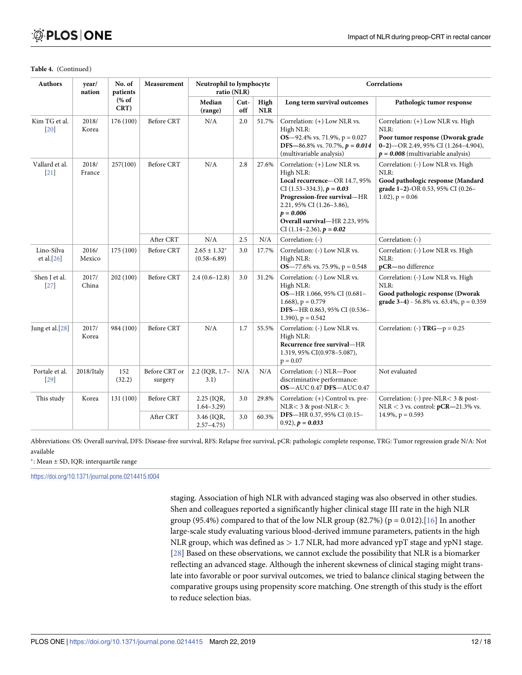| <b>Authors</b>                     | year/<br>nation | No. of<br>patients<br>% of<br>CRT) | Measurement              | Neutrophil to lymphocyte<br>ratio (NLR) |             |                    | Correlations                                                                                                                                                                                                                                         |                                                                                                                                                                    |  |
|------------------------------------|-----------------|------------------------------------|--------------------------|-----------------------------------------|-------------|--------------------|------------------------------------------------------------------------------------------------------------------------------------------------------------------------------------------------------------------------------------------------------|--------------------------------------------------------------------------------------------------------------------------------------------------------------------|--|
|                                    |                 |                                    |                          | Median<br>(range)                       | Cut-<br>off | High<br><b>NLR</b> | Long term survival outcomes                                                                                                                                                                                                                          | Pathologic tumor response                                                                                                                                          |  |
| Kim TG et al.<br>$\left[20\right]$ | 2018/<br>Korea  | 176 (100)                          | <b>Before CRT</b>        | N/A                                     | 2.0         | 51.7%              | Correlation: (+) Low NLR vs.<br>High NLR:<br>$OS-92.4\%$ vs. 71.9%, $p = 0.027$<br>DFS-86.8% vs. 70.7%, $p = 0.014$<br>(multivariable analysis)                                                                                                      | Correlation: (+) Low NLR vs. High<br>NLR:<br>Poor tumor response (Dworak grade<br>$0-2$ ) - OR 2.49, 95% CI (1.264-4.904),<br>$p = 0.008$ (multivariable analysis) |  |
| Vallard et al.<br>$[21]$           | 2018/<br>France | 257(100)                           | <b>Before CRT</b>        | N/A                                     | 2.8         | 27.6%              | Correlation: (+) Low NLR vs.<br>High NLR:<br>Local recurrence-OR 14.7, 95%<br>CI (1.53–334.3), $p = 0.03$<br>Progression-free survival-HR<br>2.21, 95% CI (1.26-3.86),<br>$p = 0.006$<br>Overall survival-HR 2.23, 95%<br>CI (1.14–2.36), $p = 0.02$ | Correlation: (-) Low NLR vs. High<br>NLR:<br>Good pathologic response (Mandard<br>grade 1-2)-OR 0.53, 95% CI (0.26-<br>$1.02$ , $p = 0.06$                         |  |
|                                    |                 |                                    | After CRT                | N/A                                     | 2.5         | N/A                | Correlation: (-)                                                                                                                                                                                                                                     | Correlation: (-)                                                                                                                                                   |  |
| Lino-Silva<br>et al. $[26]$        | 2016/<br>Mexico | 175 (100)                          | Before CRT               | $2.65 \pm 1.32^*$<br>$(0.58 - 6.89)$    | 3.0         | 17.7%              | Correlation: (-) Low NLR vs.<br>High NLR:<br>$OS-77.6\%$ vs. 75.9%, p = 0.548                                                                                                                                                                        | Correlation: (-) Low NLR vs. High<br>NLR:<br>pCR-no difference                                                                                                     |  |
| Shen J et al.<br>$\left 27\right $ | 2017/<br>China  | 202 (100)                          | Before CRT               | $2.4(0.6-12.8)$                         | 3.0         | 31.2%              | Correlation: (-) Low NLR vs.<br>High NLR:<br>OS-HR 1.066, 95% CI (0.681-<br>1.668), $p = 0.779$<br>DFS-HR 0.863, 95% CI (0.536-<br>1.390), $p = 0.542$                                                                                               | Correlation: (-) Low NLR vs. High<br>NLR:<br>Good pathologic response (Dworak<br>grade $3-4$ ) - 56.8% vs. 63.4%, p = 0.359                                        |  |
| Jung et al. <sup>[28]</sup>        | 2017/<br>Korea  | 984 (100)                          | Before CRT               | N/A                                     | 1.7         | 55.5%              | Correlation: (-) Low NLR vs.<br>High NLR:<br>Recurrence free survival-HR<br>1.319, 95% CI(0.978-5.087),<br>$p = 0.07$                                                                                                                                | Correlation: (-) $TRG-p = 0.25$                                                                                                                                    |  |
| Portale et al.<br>[29]             | 2018/Italy      | 152<br>(32.2)                      | Before CRT or<br>surgery | 2.2 (IQR, 1.7-<br>3.1)                  | N/A         | N/A                | Correlation: (-) NLR-Poor<br>discriminative performance:<br><b>OS-AUC 0.47 DFS-AUC 0.47</b>                                                                                                                                                          | Not evaluated                                                                                                                                                      |  |
| This study                         | Korea           | 131 (100)                          | Before CRT               | 2.25 (IQR,<br>$1.64 - 3.29$             | 3.0         | 29.8%              | Correlation: (+) Control vs. pre-<br>$NLR < 3$ & post-NLR $<$ 3:                                                                                                                                                                                     | Correlation: (-) pre-NLR< 3 & post-<br>$NLR < 3$ vs. control: $pCR - 21.3\%$ vs.                                                                                   |  |
|                                    |                 |                                    | After CRT                | 3.46 (IQR,<br>$2.57 - 4.75$             | 3.0         | 60.3%              | DFS-HR 0.37, 95% CI (0.15-<br>$(0.92)$ , $p = 0.033$                                                                                                                                                                                                 | $14.9\%, p = 0.593$                                                                                                                                                |  |

#### **Table 4.** (Continued)

Abbreviations: OS: Overall survival, DFS: Disease-free survival, RFS: Relapse free survival, pCR: pathologic complete response, TRG: Tumor regression grade N/A: Not available

�: Mean ± SD, IQR: interquartile range

<https://doi.org/10.1371/journal.pone.0214415.t004>

staging. Association of high NLR with advanced staging was also observed in other studies. Shen and colleagues reported a significantly higher clinical stage III rate in the high NLR group (95.4%) compared to that of the low NLR group (82.7%) ( $p = 0.012$ ).[[16\]](#page-14-0) In another large-scale study evaluating various blood-derived immune parameters, patients in the high NLR group, which was defined as *>* 1.7 NLR, had more advanced ypT stage and ypN1 stage. [\[28\]](#page-15-0) Based on these observations, we cannot exclude the possibility that NLR is a biomarker reflecting an advanced stage. Although the inherent skewness of clinical staging might translate into favorable or poor survival outcomes, we tried to balance clinical staging between the comparative groups using propensity score matching. One strength of this study is the effort to reduce selection bias.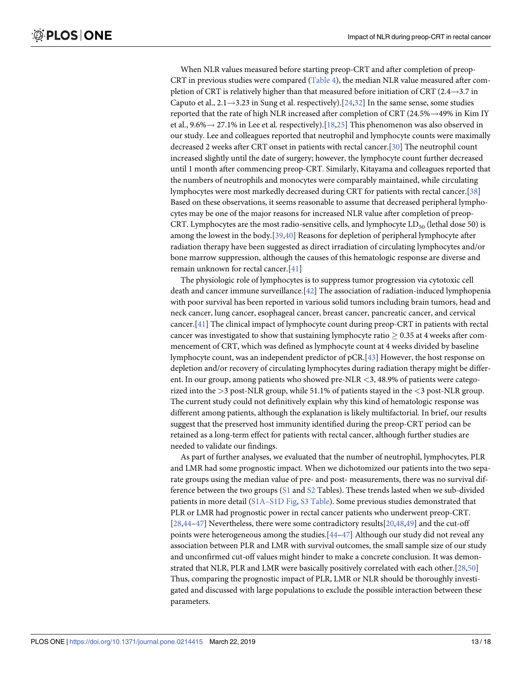<span id="page-12-0"></span>When NLR values measured before starting preop-CRT and after completion of preop-CRT in previous studies were compared ([Table](#page-10-0) 4), the median NLR value measured after completion of CRT is relatively higher than that measured before initiation of CRT (2.4 $\rightarrow$ 3.7 in Caputo et al.,  $2.1 \rightarrow 3.23$  in Sung et al. respectively).[\[24,32](#page-15-0)] In the same sense, some studies reported that the rate of high NLR increased after completion of CRT (24.5% $\rightarrow$ 49% in Kim IY et al.,  $9.6\% \rightarrow 27.1\%$  in Lee et al. respectively).[[18,25\]](#page-15-0) This phenomenon was also observed in our study. Lee and colleagues reported that neutrophil and lymphocyte counts were maximally decreased 2 weeks after CRT onset in patients with rectal cancer.[[30](#page-15-0)] The neutrophil count increased slightly until the date of surgery; however, the lymphocyte count further decreased until 1 month after commencing preop-CRT. Similarly, Kitayama and colleagues reported that the numbers of neutrophils and monocytes were comparably maintained, while circulating lymphocytes were most markedly decreased during CRT for patients with rectal cancer.[\[38\]](#page-16-0) Based on these observations, it seems reasonable to assume that decreased peripheral lymphocytes may be one of the major reasons for increased NLR value after completion of preop-CRT. Lymphocytes are the most radio-sensitive cells, and lymphocyte  $LD_{50}$  (lethal dose 50) is among the lowest in the body.[[39,40\]](#page-16-0) Reasons for depletion of peripheral lymphocyte after radiation therapy have been suggested as direct irradiation of circulating lymphocytes and/or bone marrow suppression, although the causes of this hematologic response are diverse and remain unknown for rectal cancer.[[41](#page-16-0)]

The physiologic role of lymphocytes is to suppress tumor progression via cytotoxic cell death and cancer immune surveillance.[\[42\]](#page-16-0) The association of radiation-induced lymphopenia with poor survival has been reported in various solid tumors including brain tumors, head and neck cancer, lung cancer, esophageal cancer, breast cancer, pancreatic cancer, and cervical cancer.[[41](#page-16-0)] The clinical impact of lymphocyte count during preop-CRT in patients with rectal cancer was investigated to show that sustaining lymphocyte ratio  $> 0.35$  at 4 weeks after commencement of CRT, which was defined as lymphocyte count at 4 weeks divided by baseline lymphocyte count, was an independent predictor of pCR.[\[43\]](#page-16-0) However, the host response on depletion and/or recovery of circulating lymphocytes during radiation therapy might be different. In our group, among patients who showed pre-NLR *<*3, 48.9% of patients were categorized into the *>*3 post-NLR group, while 51.1% of patients stayed in the *<*3 post-NLR group. The current study could not definitively explain why this kind of hematologic response was different among patients, although the explanation is likely multifactorial. In brief, our results suggest that the preserved host immunity identified during the preop-CRT period can be retained as a long-term effect for patients with rectal cancer, although further studies are needed to validate our findings.

As part of further analyses, we evaluated that the number of neutrophil, lymphocytes, PLR and LMR had some prognostic impact. When we dichotomized our patients into the two separate groups using the median value of pre- and post- measurements, there was no survival difference between the two groups [\(S1](#page-13-0) and [S2](#page-13-0) Tables). These trends lasted when we sub-divided patients in more detail [\(S1A–S1D](#page-13-0) Fig, S3 [Table\)](#page-13-0). Some previous studies demonstrated that PLR or LMR had prognostic power in rectal cancer patients who underwent preop-CRT. [\[28](#page-15-0)[,44–47](#page-16-0)] Nevertheless, there were some contradictory results[[20](#page-15-0),[48,49\]](#page-16-0) and the cut-off points were heterogeneous among the studies.[[44–47\]](#page-16-0) Although our study did not reveal any association between PLR and LMR with survival outcomes, the small sample size of our study and unconfirmed cut-off values might hinder to make a concrete conclusion. It was demonstrated that NLR, PLR and LMR were basically positively correlated with each other.[[28](#page-15-0),[50](#page-17-0)] Thus, comparing the prognostic impact of PLR, LMR or NLR should be thoroughly investigated and discussed with large populations to exclude the possible interaction between these parameters.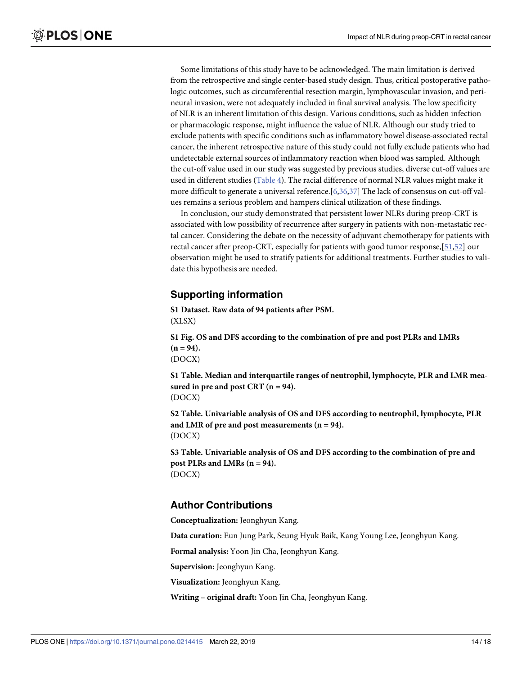<span id="page-13-0"></span>Some limitations of this study have to be acknowledged. The main limitation is derived from the retrospective and single center-based study design. Thus, critical postoperative pathologic outcomes, such as circumferential resection margin, lymphovascular invasion, and perineural invasion, were not adequately included in final survival analysis. The low specificity of NLR is an inherent limitation of this design. Various conditions, such as hidden infection or pharmacologic response, might influence the value of NLR. Although our study tried to exclude patients with specific conditions such as inflammatory bowel disease-associated rectal cancer, the inherent retrospective nature of this study could not fully exclude patients who had undetectable external sources of inflammatory reaction when blood was sampled. Although the cut-off value used in our study was suggested by previous studies, diverse cut-off values are used in different studies ([Table](#page-10-0) 4). The racial difference of normal NLR values might make it more difficult to generate a universal reference.[[6,](#page-14-0)[36,37](#page-16-0)] The lack of consensus on cut-off values remains a serious problem and hampers clinical utilization of these findings.

In conclusion, our study demonstrated that persistent lower NLRs during preop-CRT is associated with low possibility of recurrence after surgery in patients with non-metastatic rectal cancer. Considering the debate on the necessity of adjuvant chemotherapy for patients with rectal cancer after preop-CRT, especially for patients with good tumor response,[\[51,52\]](#page-17-0) our observation might be used to stratify patients for additional treatments. Further studies to validate this hypothesis are needed.

## **Supporting information**

**S1 [Dataset.](http://www.plosone.org/article/fetchSingleRepresentation.action?uri=info:doi/10.1371/journal.pone.0214415.s001) Raw data of 94 patients after PSM.** (XLSX)

**S1 [Fig](http://www.plosone.org/article/fetchSingleRepresentation.action?uri=info:doi/10.1371/journal.pone.0214415.s002). OS and DFS according to the combination of pre and post PLRs and LMRs**  $(n = 94)$ . (DOCX)

**S1 [Table.](http://www.plosone.org/article/fetchSingleRepresentation.action?uri=info:doi/10.1371/journal.pone.0214415.s003) Median and interquartile ranges of neutrophil, lymphocyte, PLR and LMR measured** in pre and post CRT  $(n = 94)$ . (DOCX)

**S2 [Table.](http://www.plosone.org/article/fetchSingleRepresentation.action?uri=info:doi/10.1371/journal.pone.0214415.s004) Univariable analysis of OS and DFS according to neutrophil, lymphocyte, PLR and LMR of pre and post measurements (n = 94).** (DOCX)

**S3 [Table.](http://www.plosone.org/article/fetchSingleRepresentation.action?uri=info:doi/10.1371/journal.pone.0214415.s005) Univariable analysis of OS and DFS according to the combination of pre and post PLRs and LMRs (n = 94).** (DOCX)

## **Author Contributions**

**Conceptualization:** Jeonghyun Kang.

**Data curation:** Eun Jung Park, Seung Hyuk Baik, Kang Young Lee, Jeonghyun Kang.

**Formal analysis:** Yoon Jin Cha, Jeonghyun Kang.

**Supervision:** Jeonghyun Kang.

**Visualization:** Jeonghyun Kang.

**Writing – original draft:** Yoon Jin Cha, Jeonghyun Kang.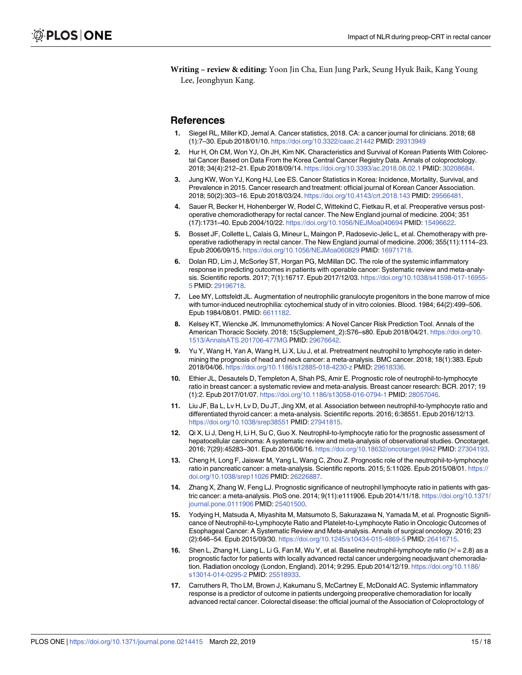<span id="page-14-0"></span>**Writing – review & editing:** Yoon Jin Cha, Eun Jung Park, Seung Hyuk Baik, Kang Young Lee, Jeonghyun Kang.

#### **References**

- **[1](#page-1-0).** Siegel RL, Miller KD, Jemal A. Cancer statistics, 2018. CA: a cancer journal for clinicians. 2018; 68 (1):7–30. Epub 2018/01/10. <https://doi.org/10.3322/caac.21442> PMID: [29313949](http://www.ncbi.nlm.nih.gov/pubmed/29313949)
- **[2](#page-1-0).** Hur H, Oh CM, Won YJ, Oh JH, Kim NK. Characteristics and Survival of Korean Patients With Colorectal Cancer Based on Data From the Korea Central Cancer Registry Data. Annals of coloproctology. 2018; 34(4):212–21. Epub 2018/09/14. <https://doi.org/10.3393/ac.2018.08.02.1> PMID: [30208684](http://www.ncbi.nlm.nih.gov/pubmed/30208684).
- **[3](#page-1-0).** Jung KW, Won YJ, Kong HJ, Lee ES. Cancer Statistics in Korea: Incidence, Mortality, Survival, and Prevalence in 2015. Cancer research and treatment: official journal of Korean Cancer Association. 2018; 50(2):303–16. Epub 2018/03/24. <https://doi.org/10.4143/crt.2018.143> PMID: [29566481.](http://www.ncbi.nlm.nih.gov/pubmed/29566481)
- **[4](#page-1-0).** Sauer R, Becker H, Hohenberger W, Rodel C, Wittekind C, Fietkau R, et al. Preoperative versus postoperative chemoradiotherapy for rectal cancer. The New England journal of medicine. 2004; 351 (17):1731–40. Epub 2004/10/22. <https://doi.org/10.1056/NEJMoa040694> PMID: [15496622.](http://www.ncbi.nlm.nih.gov/pubmed/15496622)
- **[5](#page-1-0).** Bosset JF, Collette L, Calais G, Mineur L, Maingon P, Radosevic-Jelic L, et al. Chemotherapy with preoperative radiotherapy in rectal cancer. The New England journal of medicine. 2006; 355(11):1114–23. Epub 2006/09/15. <https://doi.org/10.1056/NEJMoa060829> PMID: [16971718](http://www.ncbi.nlm.nih.gov/pubmed/16971718).
- **[6](#page-1-0).** Dolan RD, Lim J, McSorley ST, Horgan PG, McMillan DC. The role of the systemic inflammatory response in predicting outcomes in patients with operable cancer: Systematic review and meta-analysis. Scientific reports. 2017; 7(1):16717. Epub 2017/12/03. [https://doi.org/10.1038/s41598-017-16955-](https://doi.org/10.1038/s41598-017-16955-5) [5](https://doi.org/10.1038/s41598-017-16955-5) PMID: [29196718](http://www.ncbi.nlm.nih.gov/pubmed/29196718).
- **[7](#page-1-0).** Lee MY, Lottsfeldt JL. Augmentation of neutrophilic granulocyte progenitors in the bone marrow of mice with tumor-induced neutrophilia: cytochemical study of in vitro colonies. Blood. 1984; 64(2):499–506. Epub 1984/08/01. PMID: [6611182](http://www.ncbi.nlm.nih.gov/pubmed/6611182).
- **[8](#page-1-0).** Kelsey KT, Wiencke JK. Immunomethylomics: A Novel Cancer Risk Prediction Tool. Annals of the American Thoracic Society. 2018; 15(Supplement\_2):S76–s80. Epub 2018/04/21. [https://doi.org/10.](https://doi.org/10.1513/AnnalsATS.201706-477MG) [1513/AnnalsATS.201706-477MG](https://doi.org/10.1513/AnnalsATS.201706-477MG) PMID: [29676642.](http://www.ncbi.nlm.nih.gov/pubmed/29676642)
- **[9](#page-1-0).** Yu Y, Wang H, Yan A, Wang H, Li X, Liu J, et al. Pretreatment neutrophil to lymphocyte ratio in determining the prognosis of head and neck cancer: a meta-analysis. BMC cancer. 2018; 18(1):383. Epub 2018/04/06. <https://doi.org/10.1186/s12885-018-4230-z> PMID: [29618336.](http://www.ncbi.nlm.nih.gov/pubmed/29618336)
- **10.** Ethier JL, Desautels D, Templeton A, Shah PS, Amir E. Prognostic role of neutrophil-to-lymphocyte ratio in breast cancer: a systematic review and meta-analysis. Breast cancer research: BCR. 2017; 19 (1):2. Epub 2017/01/07. <https://doi.org/10.1186/s13058-016-0794-1> PMID: [28057046](http://www.ncbi.nlm.nih.gov/pubmed/28057046).
- **11.** Liu JF, Ba L, Lv H, Lv D, Du JT, Jing XM, et al. Association between neutrophil-to-lymphocyte ratio and differentiated thyroid cancer: a meta-analysis. Scientific reports. 2016; 6:38551. Epub 2016/12/13. <https://doi.org/10.1038/srep38551> PMID: [27941815](http://www.ncbi.nlm.nih.gov/pubmed/27941815).
- **12.** Qi X, Li J, Deng H, Li H, Su C, Guo X. Neutrophil-to-lymphocyte ratio for the prognostic assessment of hepatocellular carcinoma: A systematic review and meta-analysis of observational studies. Oncotarget. 2016; 7(29):45283–301. Epub 2016/06/16. <https://doi.org/10.18632/oncotarget.9942> PMID: [27304193](http://www.ncbi.nlm.nih.gov/pubmed/27304193).
- **13.** Cheng H, Long F, Jaiswar M, Yang L, Wang C, Zhou Z. Prognostic role of the neutrophil-to-lymphocyte ratio in pancreatic cancer: a meta-analysis. Scientific reports. 2015; 5:11026. Epub 2015/08/01. [https://](https://doi.org/10.1038/srep11026) [doi.org/10.1038/srep11026](https://doi.org/10.1038/srep11026) PMID: [26226887.](http://www.ncbi.nlm.nih.gov/pubmed/26226887)
- **14.** Zhang X, Zhang W, Feng LJ. Prognostic significance of neutrophil lymphocyte ratio in patients with gastric cancer: a meta-analysis. PloS one. 2014; 9(11):e111906. Epub 2014/11/18. [https://doi.org/10.1371/](https://doi.org/10.1371/journal.pone.0111906) [journal.pone.0111906](https://doi.org/10.1371/journal.pone.0111906) PMID: [25401500.](http://www.ncbi.nlm.nih.gov/pubmed/25401500)
- **[15](#page-1-0).** Yodying H, Matsuda A, Miyashita M, Matsumoto S, Sakurazawa N, Yamada M, et al. Prognostic Significance of Neutrophil-to-Lymphocyte Ratio and Platelet-to-Lymphocyte Ratio in Oncologic Outcomes of Esophageal Cancer: A Systematic Review and Meta-analysis. Annals of surgical oncology. 2016; 23 (2):646–54. Epub 2015/09/30. <https://doi.org/10.1245/s10434-015-4869-5> PMID: [26416715](http://www.ncbi.nlm.nih.gov/pubmed/26416715).
- **[16](#page-1-0).** Shen L, Zhang H, Liang L, Li G, Fan M, Wu Y, et al. Baseline neutrophil-lymphocyte ratio (>/ = 2.8) as a prognostic factor for patients with locally advanced rectal cancer undergoing neoadjuvant chemoradiation. Radiation oncology (London, England). 2014; 9:295. Epub 2014/12/19. [https://doi.org/10.1186/](https://doi.org/10.1186/s13014-014-0295-2) [s13014-014-0295-2](https://doi.org/10.1186/s13014-014-0295-2) PMID: [25518933](http://www.ncbi.nlm.nih.gov/pubmed/25518933).
- **[17](#page-10-0).** Carruthers R, Tho LM, Brown J, Kakumanu S, McCartney E, McDonald AC. Systemic inflammatory response is a predictor of outcome in patients undergoing preoperative chemoradiation for locally advanced rectal cancer. Colorectal disease: the official journal of the Association of Coloproctology of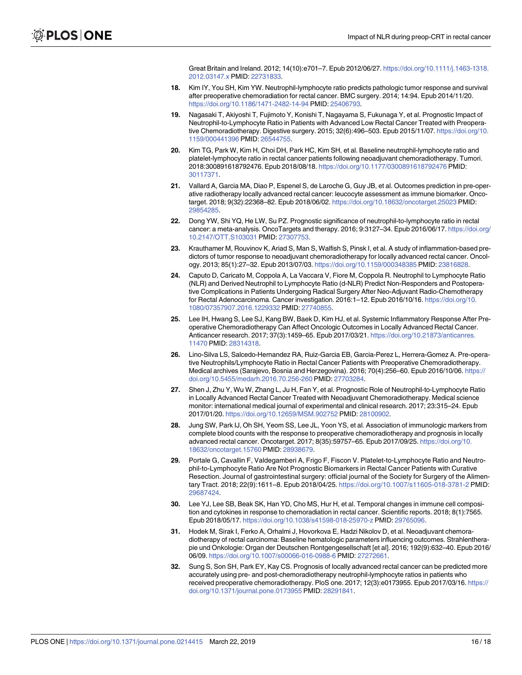Great Britain and Ireland. 2012; 14(10):e701–7. Epub 2012/06/27. [https://doi.org/10.1111/j.1463-1318.](https://doi.org/10.1111/j.1463-1318.2012.03147.x) [2012.03147.x](https://doi.org/10.1111/j.1463-1318.2012.03147.x) PMID: [22731833](http://www.ncbi.nlm.nih.gov/pubmed/22731833).

- <span id="page-15-0"></span>**[18](#page-1-0).** Kim IY, You SH, Kim YW. Neutrophil-lymphocyte ratio predicts pathologic tumor response and survival after preoperative chemoradiation for rectal cancer. BMC surgery. 2014; 14:94. Epub 2014/11/20. <https://doi.org/10.1186/1471-2482-14-94> PMID: [25406793.](http://www.ncbi.nlm.nih.gov/pubmed/25406793)
- **[19](#page-9-0).** Nagasaki T, Akiyoshi T, Fujimoto Y, Konishi T, Nagayama S, Fukunaga Y, et al. Prognostic Impact of Neutrophil-to-Lymphocyte Ratio in Patients with Advanced Low Rectal Cancer Treated with Preoperative Chemoradiotherapy. Digestive surgery. 2015; 32(6):496–503. Epub 2015/11/07. [https://doi.org/10.](https://doi.org/10.1159/000441396) [1159/000441396](https://doi.org/10.1159/000441396) PMID: [26544755.](http://www.ncbi.nlm.nih.gov/pubmed/26544755)
- **[20](#page-1-0).** Kim TG, Park W, Kim H, Choi DH, Park HC, Kim SH, et al. Baseline neutrophil-lymphocyte ratio and platelet-lymphocyte ratio in rectal cancer patients following neoadjuvant chemoradiotherapy. Tumori. 2018:300891618792476. Epub 2018/08/18. <https://doi.org/10.1177/0300891618792476> PMID: [30117371](http://www.ncbi.nlm.nih.gov/pubmed/30117371).
- **[21](#page-9-0).** Vallard A, Garcia MA, Diao P, Espenel S, de Laroche G, Guy JB, et al. Outcomes prediction in pre-operative radiotherapy locally advanced rectal cancer: leucocyte assessment as immune biomarker. Oncotarget. 2018; 9(32):22368–82. Epub 2018/06/02. <https://doi.org/10.18632/oncotarget.25023> PMID: [29854285](http://www.ncbi.nlm.nih.gov/pubmed/29854285).
- **[22](#page-1-0).** Dong YW, Shi YQ, He LW, Su PZ. Prognostic significance of neutrophil-to-lymphocyte ratio in rectal cancer: a meta-analysis. OncoTargets and therapy. 2016; 9:3127–34. Epub 2016/06/17. [https://doi.org/](https://doi.org/10.2147/OTT.S103031) [10.2147/OTT.S103031](https://doi.org/10.2147/OTT.S103031) PMID: [27307753](http://www.ncbi.nlm.nih.gov/pubmed/27307753).
- **[23](#page-1-0).** Krauthamer M, Rouvinov K, Ariad S, Man S, Walfish S, Pinsk I, et al. A study of inflammation-based predictors of tumor response to neoadjuvant chemoradiotherapy for locally advanced rectal cancer. Oncology. 2013; 85(1):27–32. Epub 2013/07/03. <https://doi.org/10.1159/000348385> PMID: [23816828](http://www.ncbi.nlm.nih.gov/pubmed/23816828).
- **[24](#page-10-0).** Caputo D, Caricato M, Coppola A, La Vaccara V, Fiore M, Coppola R. Neutrophil to Lymphocyte Ratio (NLR) and Derived Neutrophil to Lymphocyte Ratio (d-NLR) Predict Non-Responders and Postoperative Complications in Patients Undergoing Radical Surgery After Neo-Adjuvant Radio-Chemotherapy for Rectal Adenocarcinoma. Cancer investigation. 2016:1–12. Epub 2016/10/16. [https://doi.org/10.](https://doi.org/10.1080/07357907.2016.1229332) [1080/07357907.2016.1229332](https://doi.org/10.1080/07357907.2016.1229332) PMID: [27740855.](http://www.ncbi.nlm.nih.gov/pubmed/27740855)
- **[25](#page-1-0).** Lee IH, Hwang S, Lee SJ, Kang BW, Baek D, Kim HJ, et al. Systemic Inflammatory Response After Preoperative Chemoradiotherapy Can Affect Oncologic Outcomes in Locally Advanced Rectal Cancer. Anticancer research. 2017; 37(3):1459–65. Epub 2017/03/21. [https://doi.org/10.21873/anticanres.](https://doi.org/10.21873/anticanres.11470) [11470](https://doi.org/10.21873/anticanres.11470) PMID: [28314318.](http://www.ncbi.nlm.nih.gov/pubmed/28314318)
- **[26](#page-1-0).** Lino-Silva LS, Salcedo-Hernandez RA, Ruiz-Garcia EB, Garcia-Perez L, Herrera-Gomez A. Pre-operative Neutrophils/Lymphocyte Ratio in Rectal Cancer Patients with Preoperative Chemoradiotherapy. Medical archives (Sarajevo, Bosnia and Herzegovina). 2016; 70(4):256–60. Epub 2016/10/06. [https://](https://doi.org/10.5455/medarh.2016.70.256-260) [doi.org/10.5455/medarh.2016.70.256-260](https://doi.org/10.5455/medarh.2016.70.256-260) PMID: [27703284.](http://www.ncbi.nlm.nih.gov/pubmed/27703284)
- **[27](#page-1-0).** Shen J, Zhu Y, Wu W, Zhang L, Ju H, Fan Y, et al. Prognostic Role of Neutrophil-to-Lymphocyte Ratio in Locally Advanced Rectal Cancer Treated with Neoadjuvant Chemoradiotherapy. Medical science monitor: international medical journal of experimental and clinical research. 2017; 23:315–24. Epub 2017/01/20. <https://doi.org/10.12659/MSM.902752> PMID: [28100902.](http://www.ncbi.nlm.nih.gov/pubmed/28100902)
- **[28](#page-1-0).** Jung SW, Park IJ, Oh SH, Yeom SS, Lee JL, Yoon YS, et al. Association of immunologic markers from complete blood counts with the response to preoperative chemoradiotherapy and prognosis in locally advanced rectal cancer. Oncotarget. 2017; 8(35):59757–65. Epub 2017/09/25. [https://doi.org/10.](https://doi.org/10.18632/oncotarget.15760) [18632/oncotarget.15760](https://doi.org/10.18632/oncotarget.15760) PMID: [28938679](http://www.ncbi.nlm.nih.gov/pubmed/28938679).
- **[29](#page-1-0).** Portale G, Cavallin F, Valdegamberi A, Frigo F, Fiscon V. Platelet-to-Lymphocyte Ratio and Neutrophil-to-Lymphocyte Ratio Are Not Prognostic Biomarkers in Rectal Cancer Patients with Curative Resection. Journal of gastrointestinal surgery: official journal of the Society for Surgery of the Alimentary Tract. 2018; 22(9):1611–8. Epub 2018/04/25. <https://doi.org/10.1007/s11605-018-3781-2> PMID: [29687424](http://www.ncbi.nlm.nih.gov/pubmed/29687424).
- **[30](#page-2-0).** Lee YJ, Lee SB, Beak SK, Han YD, Cho MS, Hur H, et al. Temporal changes in immune cell composition and cytokines in response to chemoradiation in rectal cancer. Scientific reports. 2018; 8(1):7565. Epub 2018/05/17. <https://doi.org/10.1038/s41598-018-25970-z> PMID: [29765096](http://www.ncbi.nlm.nih.gov/pubmed/29765096).
- **[31](#page-2-0).** Hodek M, Sirak I, Ferko A, Orhalmi J, Hovorkova E, Hadzi Nikolov D, et al. Neoadjuvant chemoradiotherapy of rectal carcinoma: Baseline hematologic parameters influencing outcomes. Strahlentherapie und Onkologie: Organ der Deutschen Rontgengesellschaft [et al]. 2016; 192(9):632–40. Epub 2016/ 06/09. <https://doi.org/10.1007/s00066-016-0988-6> PMID: [27272661.](http://www.ncbi.nlm.nih.gov/pubmed/27272661)
- **[32](#page-2-0).** Sung S, Son SH, Park EY, Kay CS. Prognosis of locally advanced rectal cancer can be predicted more accurately using pre- and post-chemoradiotherapy neutrophil-lymphocyte ratios in patients who received preoperative chemoradiotherapy. PloS one. 2017; 12(3):e0173955. Epub 2017/03/16. [https://](https://doi.org/10.1371/journal.pone.0173955) [doi.org/10.1371/journal.pone.0173955](https://doi.org/10.1371/journal.pone.0173955) PMID: [28291841.](http://www.ncbi.nlm.nih.gov/pubmed/28291841)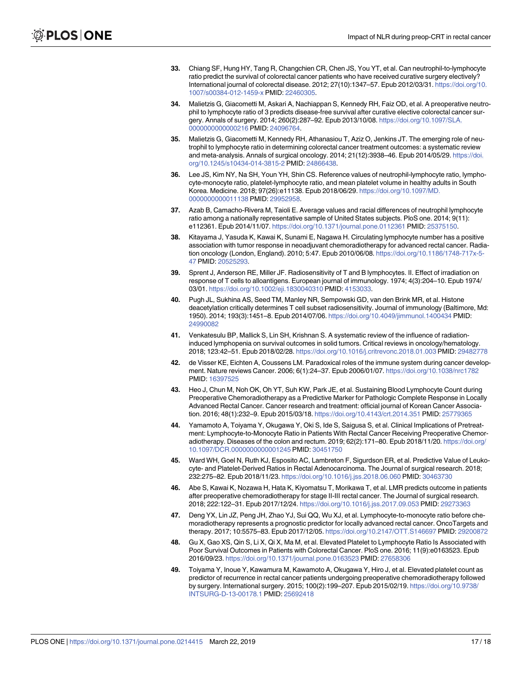- <span id="page-16-0"></span>**[33](#page-3-0).** Chiang SF, Hung HY, Tang R, Changchien CR, Chen JS, You YT, et al. Can neutrophil-to-lymphocyte ratio predict the survival of colorectal cancer patients who have received curative surgery electively? International journal of colorectal disease. 2012; 27(10):1347–57. Epub 2012/03/31. [https://doi.org/10.](https://doi.org/10.1007/s00384-012-1459-x) [1007/s00384-012-1459-x](https://doi.org/10.1007/s00384-012-1459-x) PMID: [22460305.](http://www.ncbi.nlm.nih.gov/pubmed/22460305)
- **34.** Malietzis G, Giacometti M, Askari A, Nachiappan S, Kennedy RH, Faiz OD, et al. A preoperative neutrophil to lymphocyte ratio of 3 predicts disease-free survival after curative elective colorectal cancer surgery. Annals of surgery. 2014; 260(2):287–92. Epub 2013/10/08. [https://doi.org/10.1097/SLA.](https://doi.org/10.1097/SLA.0000000000000216) [0000000000000216](https://doi.org/10.1097/SLA.0000000000000216) PMID: [24096764.](http://www.ncbi.nlm.nih.gov/pubmed/24096764)
- **[35](#page-3-0).** Malietzis G, Giacometti M, Kennedy RH, Athanasiou T, Aziz O, Jenkins JT. The emerging role of neutrophil to lymphocyte ratio in determining colorectal cancer treatment outcomes: a systematic review and meta-analysis. Annals of surgical oncology. 2014; 21(12):3938–46. Epub 2014/05/29. [https://doi.](https://doi.org/10.1245/s10434-014-3815-2) [org/10.1245/s10434-014-3815-2](https://doi.org/10.1245/s10434-014-3815-2) PMID: [24866438.](http://www.ncbi.nlm.nih.gov/pubmed/24866438)
- **[36](#page-9-0).** Lee JS, Kim NY, Na SH, Youn YH, Shin CS. Reference values of neutrophil-lymphocyte ratio, lymphocyte-monocyte ratio, platelet-lymphocyte ratio, and mean platelet volume in healthy adults in South Korea. Medicine. 2018; 97(26):e11138. Epub 2018/06/29. [https://doi.org/10.1097/MD.](https://doi.org/10.1097/MD.0000000000011138) [0000000000011138](https://doi.org/10.1097/MD.0000000000011138) PMID: [29952958.](http://www.ncbi.nlm.nih.gov/pubmed/29952958)
- **[37](#page-9-0).** Azab B, Camacho-Rivera M, Taioli E. Average values and racial differences of neutrophil lymphocyte ratio among a nationally representative sample of United States subjects. PloS one. 2014; 9(11): e112361. Epub 2014/11/07. <https://doi.org/10.1371/journal.pone.0112361> PMID: [25375150](http://www.ncbi.nlm.nih.gov/pubmed/25375150).
- **[38](#page-12-0).** Kitayama J, Yasuda K, Kawai K, Sunami E, Nagawa H. Circulating lymphocyte number has a positive association with tumor response in neoadjuvant chemoradiotherapy for advanced rectal cancer. Radiation oncology (London, England). 2010; 5:47. Epub 2010/06/08. [https://doi.org/10.1186/1748-717x-5-](https://doi.org/10.1186/1748-717x-5-47) [47](https://doi.org/10.1186/1748-717x-5-47) PMID: [20525293.](http://www.ncbi.nlm.nih.gov/pubmed/20525293)
- **[39](#page-12-0).** Sprent J, Anderson RE, Miller JF. Radiosensitivity of T and B lymphocytes. II. Effect of irradiation on response of T cells to alloantigens. European journal of immunology. 1974; 4(3):204–10. Epub 1974/ 03/01. <https://doi.org/10.1002/eji.1830040310> PMID: [4153033](http://www.ncbi.nlm.nih.gov/pubmed/4153033).
- **[40](#page-12-0).** Pugh JL, Sukhina AS, Seed TM, Manley NR, Sempowski GD, van den Brink MR, et al. Histone deacetylation critically determines T cell subset radiosensitivity. Journal of immunology (Baltimore, Md: 1950). 2014; 193(3):1451–8. Epub 2014/07/06. <https://doi.org/10.4049/jimmunol.1400434> PMID: [24990082](http://www.ncbi.nlm.nih.gov/pubmed/24990082)
- **[41](#page-12-0).** Venkatesulu BP, Mallick S, Lin SH, Krishnan S. A systematic review of the influence of radiationinduced lymphopenia on survival outcomes in solid tumors. Critical reviews in oncology/hematology. 2018; 123:42–51. Epub 2018/02/28. <https://doi.org/10.1016/j.critrevonc.2018.01.003> PMID: [29482778](http://www.ncbi.nlm.nih.gov/pubmed/29482778)
- **[42](#page-12-0).** de Visser KE, Eichten A, Coussens LM. Paradoxical roles of the immune system during cancer development. Nature reviews Cancer. 2006; 6(1):24–37. Epub 2006/01/07. <https://doi.org/10.1038/nrc1782> PMID: [16397525](http://www.ncbi.nlm.nih.gov/pubmed/16397525)
- **[43](#page-12-0).** Heo J, Chun M, Noh OK, Oh YT, Suh KW, Park JE, et al. Sustaining Blood Lymphocyte Count during Preoperative Chemoradiotherapy as a Predictive Marker for Pathologic Complete Response in Locally Advanced Rectal Cancer. Cancer research and treatment: official journal of Korean Cancer Association. 2016; 48(1):232–9. Epub 2015/03/18. <https://doi.org/10.4143/crt.2014.351> PMID: [25779365](http://www.ncbi.nlm.nih.gov/pubmed/25779365)
- **[44](#page-12-0).** Yamamoto A, Toiyama Y, Okugawa Y, Oki S, Ide S, Saigusa S, et al. Clinical Implications of Pretreatment: Lymphocyte-to-Monocyte Ratio in Patients With Rectal Cancer Receiving Preoperative Chemoradiotherapy. Diseases of the colon and rectum. 2019; 62(2):171–80. Epub 2018/11/20. [https://doi.org/](https://doi.org/10.1097/DCR.0000000000001245) [10.1097/DCR.0000000000001245](https://doi.org/10.1097/DCR.0000000000001245) PMID: [30451750](http://www.ncbi.nlm.nih.gov/pubmed/30451750)
- **45.** Ward WH, Goel N, Ruth KJ, Esposito AC, Lambreton F, Sigurdson ER, et al. Predictive Value of Leukocyte- and Platelet-Derived Ratios in Rectal Adenocarcinoma. The Journal of surgical research. 2018; 232:275–82. Epub 2018/11/23. <https://doi.org/10.1016/j.jss.2018.06.060> PMID: [30463730](http://www.ncbi.nlm.nih.gov/pubmed/30463730)
- **46.** Abe S, Kawai K, Nozawa H, Hata K, Kiyomatsu T, Morikawa T, et al. LMR predicts outcome in patients after preoperative chemoradiotherapy for stage II-III rectal cancer. The Journal of surgical research. 2018; 222:122–31. Epub 2017/12/24. <https://doi.org/10.1016/j.jss.2017.09.053> PMID: [29273363](http://www.ncbi.nlm.nih.gov/pubmed/29273363)
- **[47](#page-12-0).** Deng YX, Lin JZ, Peng JH, Zhao YJ, Sui QQ, Wu XJ, et al. Lymphocyte-to-monocyte ratio before chemoradiotherapy represents a prognostic predictor for locally advanced rectal cancer. OncoTargets and therapy. 2017; 10:5575–83. Epub 2017/12/05. <https://doi.org/10.2147/OTT.S146697> PMID: [29200872](http://www.ncbi.nlm.nih.gov/pubmed/29200872)
- **[48](#page-12-0).** Gu X, Gao XS, Qin S, Li X, Qi X, Ma M, et al. Elevated Platelet to Lymphocyte Ratio Is Associated with Poor Survival Outcomes in Patients with Colorectal Cancer. PloS one. 2016; 11(9):e0163523. Epub 2016/09/23. <https://doi.org/10.1371/journal.pone.0163523> PMID: [27658306](http://www.ncbi.nlm.nih.gov/pubmed/27658306)
- **[49](#page-12-0).** Toiyama Y, Inoue Y, Kawamura M, Kawamoto A, Okugawa Y, Hiro J, et al. Elevated platelet count as predictor of recurrence in rectal cancer patients undergoing preoperative chemoradiotherapy followed by surgery. International surgery. 2015; 100(2):199–207. Epub 2015/02/19. [https://doi.org/10.9738/](https://doi.org/10.9738/INTSURG-D-13-00178.1) [INTSURG-D-13-00178.1](https://doi.org/10.9738/INTSURG-D-13-00178.1) PMID: [25692418](http://www.ncbi.nlm.nih.gov/pubmed/25692418)